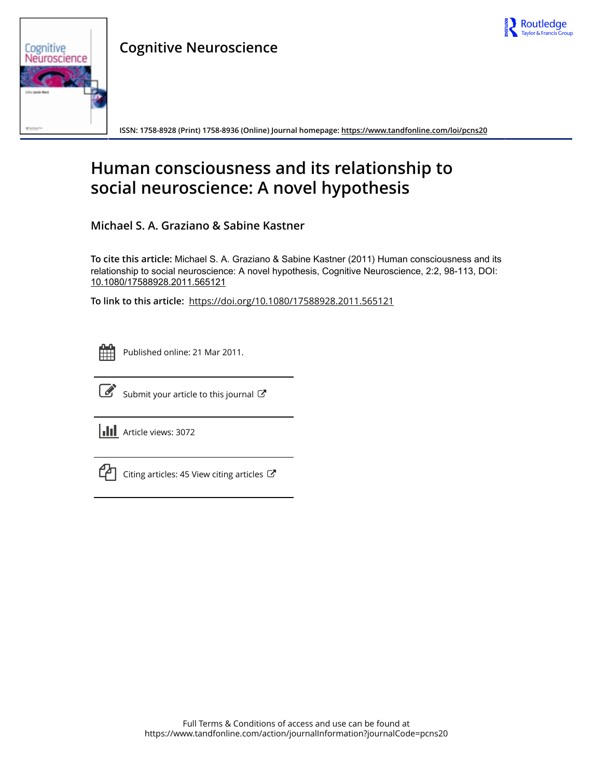



**Cognitive Neuroscience**

**ISSN: 1758-8928 (Print) 1758-8936 (Online) Journal homepage:<https://www.tandfonline.com/loi/pcns20>**

# **Human consciousness and its relationship to social neuroscience: A novel hypothesis**

**Michael S. A. Graziano & Sabine Kastner**

**To cite this article:** Michael S. A. Graziano & Sabine Kastner (2011) Human consciousness and its relationship to social neuroscience: A novel hypothesis, Cognitive Neuroscience, 2:2, 98-113, DOI: [10.1080/17588928.2011.565121](https://www.tandfonline.com/action/showCitFormats?doi=10.1080/17588928.2011.565121)

**To link to this article:** <https://doi.org/10.1080/17588928.2011.565121>

|  | - |  |
|--|---|--|
|  |   |  |
|  |   |  |
|  |   |  |

Published online: 21 Mar 2011.



 $\overrightarrow{S}$  [Submit your article to this journal](https://www.tandfonline.com/action/authorSubmission?journalCode=pcns20&show=instructions)  $G$ 

**III** Article views: 3072



 $\mathbb{C}\Box$  [Citing articles: 45 View citing articles](https://www.tandfonline.com/doi/citedby/10.1080/17588928.2011.565121#tabModule)  $\mathbb{C}\Box$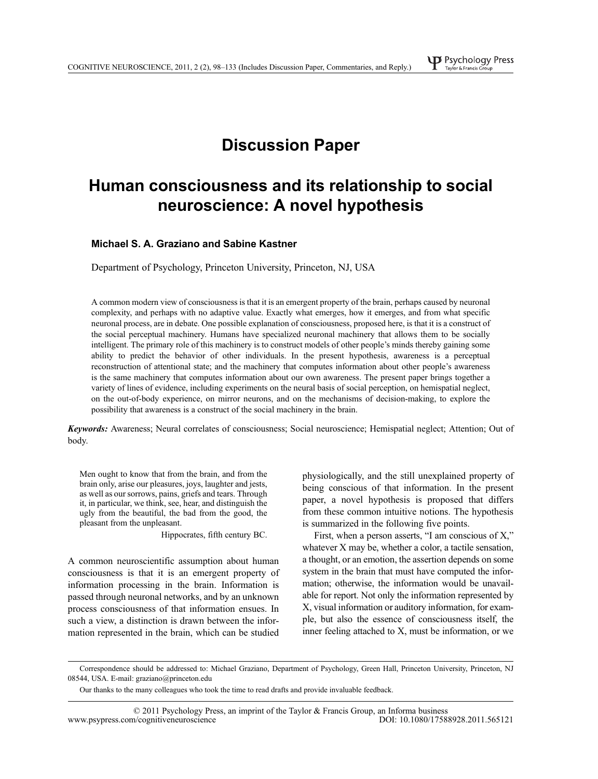# Discussion Paper

# Human consciousness and its relationship to social neuroscience: A novel hypothesis

### Michael S. A. Graziano and Sabine Kastner

Department of Psychology, Princeton University, Princeton, NJ, USA

A common modern view of consciousness is that it is an emergent property of the brain, perhaps caused by neuronal complexity, and perhaps with no adaptive value. Exactly what emerges, how it emerges, and from what specific neuronal process, are in debate. One possible explanation of consciousness, proposed here, is that it is a construct of the social perceptual machinery. Humans have specialized neuronal machinery that allows them to be socially intelligent. The primary role of this machinery is to construct models of other people's minds thereby gaining some ability to predict the behavior of other individuals. In the present hypothesis, awareness is a perceptual reconstruction of attentional state; and the machinery that computes information about other people's awareness is the same machinery that computes information about our own awareness. The present paper brings together a variety of lines of evidence, including experiments on the neural basis of social perception, on hemispatial neglect, on the out-of-body experience, on mirror neurons, and on the mechanisms of decision-making, to explore the possibility that awareness is a construct of the social machinery in the brain.

Keywords: Awareness; Neural correlates of consciousness; Social neuroscience; Hemispatial neglect; Attention; Out of body.

Men ought to know that from the brain, and from the brain only, arise our pleasures, joys, laughter and jests, as well as our sorrows, pains, griefs and tears. Through it, in particular, we think, see, hear, and distinguish the ugly from the beautiful, the bad from the good, the pleasant from the unpleasant.

Hippocrates, fifth century BC.

A common neuroscientific assumption about human consciousness is that it is an emergent property of information processing in the brain. Information is passed through neuronal networks, and by an unknown process consciousness of that information ensues. In such a view, a distinction is drawn between the information represented in the brain, which can be studied

physiologically, and the still unexplained property of being conscious of that information. In the present paper, a novel hypothesis is proposed that differs from these common intuitive notions. The hypothesis is summarized in the following five points.

First, when a person asserts, "I am conscious of X," whatever X may be, whether a color, a tactile sensation, a thought, or an emotion, the assertion depends on some system in the brain that must have computed the information; otherwise, the information would be unavailable for report. Not only the information represented by X, visual information or auditory information, for example, but also the essence of consciousness itself, the inner feeling attached to X, must be information, or we

Correspondence should be addressed to: Michael Graziano, Department of Psychology, Green Hall, Princeton University, Princeton, NJ 08544, USA. E-mail: [graziano@princeton.edu](mailto:graziano@princeton.edu)

Our thanks to the many colleagues who took the time to read drafts and provide invaluable feedback.

<sup>© 2011</sup> Psychology Press, an imprint of the Taylor & Francis Group, an Informa business [www.psypress.com/cognitiveneuroscience](http://www.psypress.com/cognitiveneuroscience)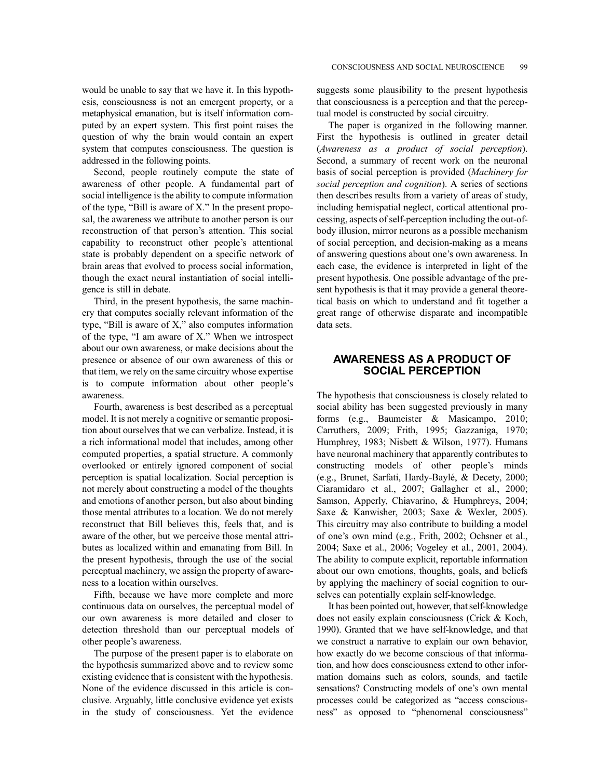would be unable to say that we have it. In this hypothesis, consciousness is not an emergent property, or a metaphysical emanation, but is itself information computed by an expert system. This first point raises the question of why the brain would contain an expert system that computes consciousness. The question is addressed in the following points.

Second, people routinely compute the state of awareness of other people. A fundamental part of social intelligence is the ability to compute information of the type, "Bill is aware of X." In the present proposal, the awareness we attribute to another person is our reconstruction of that person's attention. This social capability to reconstruct other people's attentional state is probably dependent on a specific network of brain areas that evolved to process social information, though the exact neural instantiation of social intelligence is still in debate.

Third, in the present hypothesis, the same machinery that computes socially relevant information of the type, "Bill is aware of X," also computes information of the type, "I am aware of X." When we introspect about our own awareness, or make decisions about the presence or absence of our own awareness of this or that item, we rely on the same circuitry whose expertise is to compute information about other people's awareness.

Fourth, awareness is best described as a perceptual model. It is not merely a cognitive or semantic proposition about ourselves that we can verbalize. Instead, it is a rich informational model that includes, among other computed properties, a spatial structure. A commonly overlooked or entirely ignored component of social perception is spatial localization. Social perception is not merely about constructing a model of the thoughts and emotions of another person, but also about binding those mental attributes to a location. We do not merely reconstruct that Bill believes this, feels that, and is aware of the other, but we perceive those mental attributes as localized within and emanating from Bill. In the present hypothesis, through the use of the social perceptual machinery, we assign the property of awareness to a location within ourselves.

Fifth, because we have more complete and more continuous data on ourselves, the perceptual model of our own awareness is more detailed and closer to detection threshold than our perceptual models of other people's awareness.

The purpose of the present paper is to elaborate on the hypothesis summarized above and to review some existing evidence that is consistent with the hypothesis. None of the evidence discussed in this article is conclusive. Arguably, little conclusive evidence yet exists in the study of consciousness. Yet the evidence suggests some plausibility to the present hypothesis that consciousness is a perception and that the perceptual model is constructed by social circuitry.

The paper is organized in the following manner. First the hypothesis is outlined in greater detail (Awareness as a product of social perception). Second, a summary of recent work on the neuronal basis of social perception is provided (Machinery for social perception and cognition). A series of sections then describes results from a variety of areas of study, including hemispatial neglect, cortical attentional processing, aspects of self-perception including the out-ofbody illusion, mirror neurons as a possible mechanism of social perception, and decision-making as a means of answering questions about one's own awareness. In each case, the evidence is interpreted in light of the present hypothesis. One possible advantage of the present hypothesis is that it may provide a general theoretical basis on which to understand and fit together a great range of otherwise disparate and incompatible data sets.

### AWARENESS AS A PRODUCT OF SOCIAL PERCEPTION

The hypothesis that consciousness is closely related to social ability has been suggested previously in many forms (e.g., Baumeister & Masicampo, 2010; Carruthers, 2009; Frith, 1995; Gazzaniga, 1970; Humphrey, 1983; Nisbett & Wilson, 1977). Humans have neuronal machinery that apparently contributes to constructing models of other people's minds (e.g., Brunet, Sarfati, Hardy-Baylé, & Decety, 2000; Ciaramidaro et al., 2007; Gallagher et al., 2000; Samson, Apperly, Chiavarino, & Humphreys, 2004; Saxe & Kanwisher, 2003; Saxe & Wexler, 2005). This circuitry may also contribute to building a model of one's own mind (e.g., Frith, 2002; Ochsner et al., 2004; Saxe et al., 2006; Vogeley et al., 2001, 2004). The ability to compute explicit, reportable information about our own emotions, thoughts, goals, and beliefs by applying the machinery of social cognition to ourselves can potentially explain self-knowledge.

It has been pointed out, however, that self-knowledge does not easily explain consciousness (Crick & Koch, 1990). Granted that we have self-knowledge, and that we construct a narrative to explain our own behavior, how exactly do we become conscious of that information, and how does consciousness extend to other information domains such as colors, sounds, and tactile sensations? Constructing models of one's own mental processes could be categorized as "access consciousness" as opposed to "phenomenal consciousness"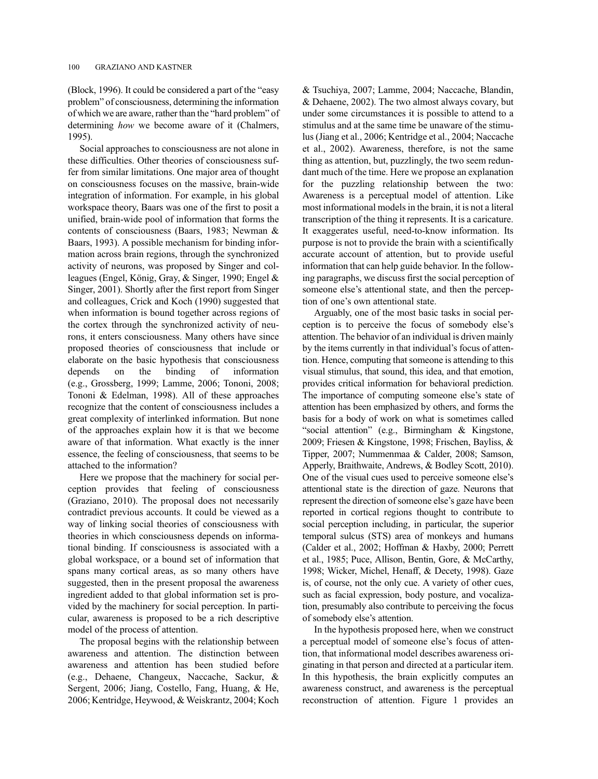(Block, 1996). It could be considered a part of the "easy problem" of consciousness, determining the information of which we are aware, rather than the "hard problem" of determining how we become aware of it (Chalmers, 1995).

Social approaches to consciousness are not alone in these difficulties. Other theories of consciousness suffer from similar limitations. One major area of thought on consciousness focuses on the massive, brain-wide integration of information. For example, in his global workspace theory, Baars was one of the first to posit a unified, brain-wide pool of information that forms the contents of consciousness (Baars, 1983; Newman & Baars, 1993). A possible mechanism for binding information across brain regions, through the synchronized activity of neurons, was proposed by Singer and colleagues (Engel, König, Gray, & Singer, 1990; Engel & Singer, 2001). Shortly after the first report from Singer and colleagues, Crick and Koch (1990) suggested that when information is bound together across regions of the cortex through the synchronized activity of neurons, it enters consciousness. Many others have since proposed theories of consciousness that include or elaborate on the basic hypothesis that consciousness depends on the binding of information (e.g., Grossberg, 1999; Lamme, 2006; Tononi, 2008; Tononi & Edelman, 1998). All of these approaches recognize that the content of consciousness includes a great complexity of interlinked information. But none of the approaches explain how it is that we become aware of that information. What exactly is the inner essence, the feeling of consciousness, that seems to be attached to the information?

Here we propose that the machinery for social perception provides that feeling of consciousness (Graziano, 2010). The proposal does not necessarily contradict previous accounts. It could be viewed as a way of linking social theories of consciousness with theories in which consciousness depends on informational binding. If consciousness is associated with a global workspace, or a bound set of information that spans many cortical areas, as so many others have suggested, then in the present proposal the awareness ingredient added to that global information set is provided by the machinery for social perception. In particular, awareness is proposed to be a rich descriptive model of the process of attention.

The proposal begins with the relationship between awareness and attention. The distinction between awareness and attention has been studied before (e.g., Dehaene, Changeux, Naccache, Sackur, & Sergent, 2006; Jiang, Costello, Fang, Huang, & He, 2006; Kentridge, Heywood, & Weiskrantz, 2004; Koch

& Tsuchiya, 2007; Lamme, 2004; Naccache, Blandin, & Dehaene, 2002). The two almost always covary, but under some circumstances it is possible to attend to a stimulus and at the same time be unaware of the stimulus (Jiang et al., 2006; Kentridge et al., 2004; Naccache et al., 2002). Awareness, therefore, is not the same thing as attention, but, puzzlingly, the two seem redundant much of the time. Here we propose an explanation for the puzzling relationship between the two: Awareness is a perceptual model of attention. Like most informational models in the brain, it is not a literal transcription of the thing it represents. It is a caricature. It exaggerates useful, need-to-know information. Its purpose is not to provide the brain with a scientifically accurate account of attention, but to provide useful information that can help guide behavior. In the following paragraphs, we discuss first the social perception of someone else's attentional state, and then the perception of one's own attentional state.

Arguably, one of the most basic tasks in social perception is to perceive the focus of somebody else's attention. The behavior of an individual is driven mainly by the items currently in that individual's focus of attention. Hence, computing that someone is attending to this visual stimulus, that sound, this idea, and that emotion, provides critical information for behavioral prediction. The importance of computing someone else's state of attention has been emphasized by others, and forms the basis for a body of work on what is sometimes called "social attention" (e.g., Birmingham & Kingstone, 2009; Friesen & Kingstone, 1998; Frischen, Bayliss, & Tipper, 2007; Nummenmaa & Calder, 2008; Samson, Apperly, Braithwaite, Andrews, & Bodley Scott, 2010). One of the visual cues used to perceive someone else's attentional state is the direction of gaze. Neurons that represent the direction of someone else's gaze have been reported in cortical regions thought to contribute to social perception including, in particular, the superior temporal sulcus (STS) area of monkeys and humans (Calder et al., 2002; Hoffman & Haxby, 2000; Perrett et al., 1985; Puce, Allison, Bentin, Gore, & McCarthy, 1998; Wicker, Michel, Henaff, & Decety, 1998). Gaze is, of course, not the only cue. A variety of other cues, such as facial expression, body posture, and vocalization, presumably also contribute to perceiving the focus of somebody else's attention.

In the hypothesis proposed here, when we construct a perceptual model of someone else's focus of attention, that informational model describes awareness originating in that person and directed at a particular item. In this hypothesis, the brain explicitly computes an awareness construct, and awareness is the perceptual reconstruction of attention. Figure 1 provides an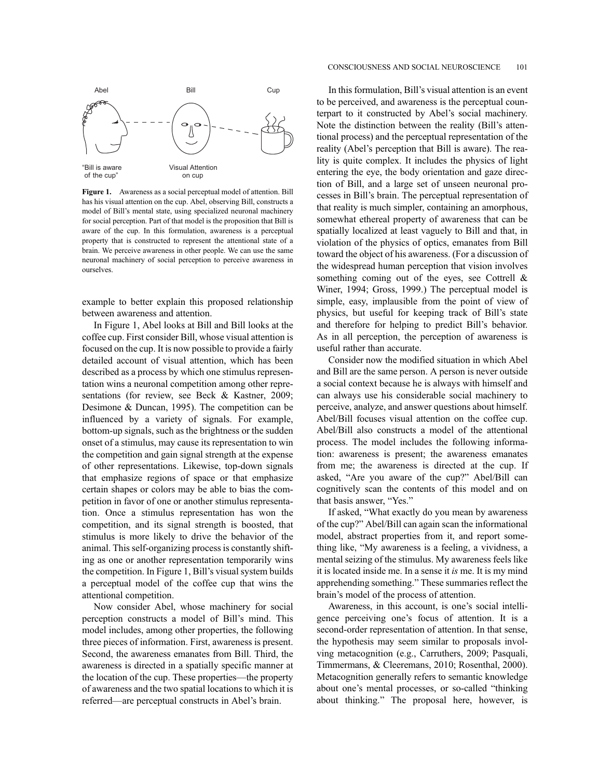

Figure 1. Awareness as a social perceptual model of attention. Bill has his visual attention on the cup. Abel, observing Bill, constructs a model of Bill's mental state, using specialized neuronal machinery for social perception. Part of that model is the proposition that Bill is aware of the cup. In this formulation, awareness is a perceptual property that is constructed to represent the attentional state of a brain. We perceive awareness in other people. We can use the same neuronal machinery of social perception to perceive awareness in ourselves.

example to better explain this proposed relationship between awareness and attention.

In Figure 1, Abel looks at Bill and Bill looks at the coffee cup. First consider Bill, whose visual attention is focused on the cup. It is now possible to provide a fairly detailed account of visual attention, which has been described as a process by which one stimulus representation wins a neuronal competition among other representations (for review, see Beck & Kastner, 2009; Desimone & Duncan, 1995). The competition can be influenced by a variety of signals. For example, bottom-up signals, such as the brightness or the sudden onset of a stimulus, may cause its representation to win the competition and gain signal strength at the expense of other representations. Likewise, top-down signals that emphasize regions of space or that emphasize certain shapes or colors may be able to bias the competition in favor of one or another stimulus representation. Once a stimulus representation has won the competition, and its signal strength is boosted, that stimulus is more likely to drive the behavior of the animal. This self-organizing process is constantly shifting as one or another representation temporarily wins the competition. In Figure 1, Bill's visual system builds a perceptual model of the coffee cup that wins the attentional competition.

Now consider Abel, whose machinery for social perception constructs a model of Bill's mind. This model includes, among other properties, the following three pieces of information. First, awareness is present. Second, the awareness emanates from Bill. Third, the awareness is directed in a spatially specific manner at the location of the cup. These properties—the property of awareness and the two spatial locations to which it is referred—are perceptual constructs in Abel's brain.

#### CONSCIOUSNESS AND SOCIAL NEUROSCIENCE 101

In this formulation, Bill's visual attention is an event to be perceived, and awareness is the perceptual counterpart to it constructed by Abel's social machinery. Note the distinction between the reality (Bill's attentional process) and the perceptual representation of the reality (Abel's perception that Bill is aware). The reality is quite complex. It includes the physics of light entering the eye, the body orientation and gaze direction of Bill, and a large set of unseen neuronal processes in Bill's brain. The perceptual representation of that reality is much simpler, containing an amorphous, somewhat ethereal property of awareness that can be spatially localized at least vaguely to Bill and that, in violation of the physics of optics, emanates from Bill toward the object of his awareness. (For a discussion of the widespread human perception that vision involves something coming out of the eyes, see Cottrell & Winer, 1994; Gross, 1999.) The perceptual model is simple, easy, implausible from the point of view of physics, but useful for keeping track of Bill's state and therefore for helping to predict Bill's behavior. As in all perception, the perception of awareness is useful rather than accurate.

Consider now the modified situation in which Abel and Bill are the same person. A person is never outside a social context because he is always with himself and can always use his considerable social machinery to perceive, analyze, and answer questions about himself. Abel/Bill focuses visual attention on the coffee cup. Abel/Bill also constructs a model of the attentional process. The model includes the following information: awareness is present; the awareness emanates from me; the awareness is directed at the cup. If asked, "Are you aware of the cup?" Abel/Bill can cognitively scan the contents of this model and on that basis answer, "Yes."

If asked, "What exactly do you mean by awareness of the cup?" Abel/Bill can again scan the informational model, abstract properties from it, and report something like, "My awareness is a feeling, a vividness, a mental seizing of the stimulus. My awareness feels like it is located inside me. In a sense it is me. It is my mind apprehending something." These summaries reflect the brain's model of the process of attention.

Awareness, in this account, is one's social intelligence perceiving one's focus of attention. It is a second-order representation of attention. In that sense, the hypothesis may seem similar to proposals involving metacognition (e.g., Carruthers, 2009; Pasquali, Timmermans, & Cleeremans, 2010; Rosenthal, 2000). Metacognition generally refers to semantic knowledge about one's mental processes, or so-called "thinking about thinking." The proposal here, however, is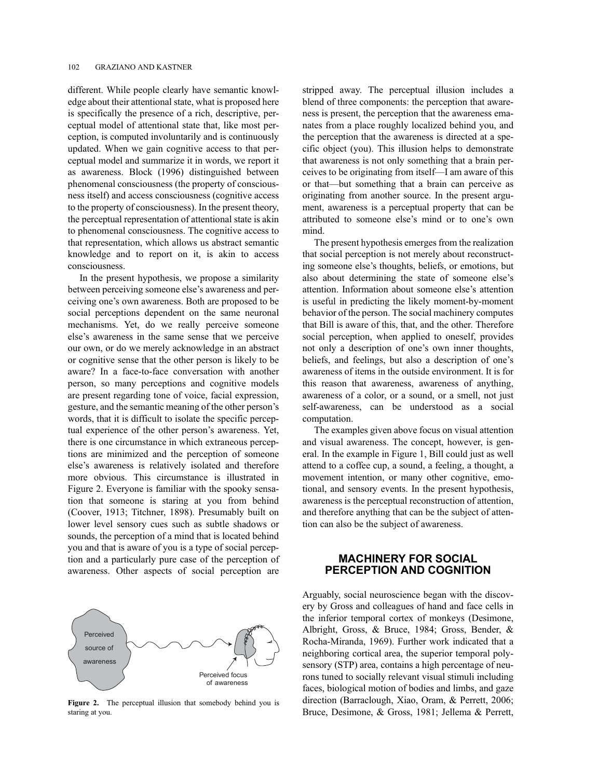different. While people clearly have semantic knowledge about their attentional state, what is proposed here is specifically the presence of a rich, descriptive, perceptual model of attentional state that, like most perception, is computed involuntarily and is continuously updated. When we gain cognitive access to that perceptual model and summarize it in words, we report it as awareness. Block (1996) distinguished between phenomenal consciousness (the property of consciousness itself) and access consciousness (cognitive access to the property of consciousness). In the present theory, the perceptual representation of attentional state is akin to phenomenal consciousness. The cognitive access to that representation, which allows us abstract semantic knowledge and to report on it, is akin to access consciousness.

In the present hypothesis, we propose a similarity between perceiving someone else's awareness and perceiving one's own awareness. Both are proposed to be social perceptions dependent on the same neuronal mechanisms. Yet, do we really perceive someone else's awareness in the same sense that we perceive our own, or do we merely acknowledge in an abstract or cognitive sense that the other person is likely to be aware? In a face-to-face conversation with another person, so many perceptions and cognitive models are present regarding tone of voice, facial expression, gesture, and the semantic meaning of the other person's words, that it is difficult to isolate the specific perceptual experience of the other person's awareness. Yet, there is one circumstance in which extraneous perceptions are minimized and the perception of someone else's awareness is relatively isolated and therefore more obvious. This circumstance is illustrated in Figure 2. Everyone is familiar with the spooky sensation that someone is staring at you from behind (Coover, 1913; Titchner, 1898). Presumably built on lower level sensory cues such as subtle shadows or sounds, the perception of a mind that is located behind you and that is aware of you is a type of social perception and a particularly pure case of the perception of awareness. Other aspects of social perception are



Figure 2. The perceptual illusion that somebody behind you is staring at you.

stripped away. The perceptual illusion includes a blend of three components: the perception that awareness is present, the perception that the awareness emanates from a place roughly localized behind you, and the perception that the awareness is directed at a specific object (you). This illusion helps to demonstrate that awareness is not only something that a brain perceives to be originating from itself––I am aware of this or that––but something that a brain can perceive as originating from another source. In the present argument, awareness is a perceptual property that can be attributed to someone else's mind or to one's own mind.

The present hypothesis emerges from the realization that social perception is not merely about reconstructing someone else's thoughts, beliefs, or emotions, but also about determining the state of someone else's attention. Information about someone else's attention is useful in predicting the likely moment-by-moment behavior of the person. The social machinery computes that Bill is aware of this, that, and the other. Therefore social perception, when applied to oneself, provides not only a description of one's own inner thoughts, beliefs, and feelings, but also a description of one's awareness of items in the outside environment. It is for this reason that awareness, awareness of anything, awareness of a color, or a sound, or a smell, not just self-awareness, can be understood as a social computation.

The examples given above focus on visual attention and visual awareness. The concept, however, is general. In the example in Figure 1, Bill could just as well attend to a coffee cup, a sound, a feeling, a thought, a movement intention, or many other cognitive, emotional, and sensory events. In the present hypothesis, awareness is the perceptual reconstruction of attention, and therefore anything that can be the subject of attention can also be the subject of awareness.

### MACHINERY FOR SOCIAL PERCEPTION AND COGNITION

Arguably, social neuroscience began with the discovery by Gross and colleagues of hand and face cells in the inferior temporal cortex of monkeys (Desimone, Albright, Gross, & Bruce, 1984; Gross, Bender, & Rocha-Miranda, 1969). Further work indicated that a neighboring cortical area, the superior temporal polysensory (STP) area, contains a high percentage of neurons tuned to socially relevant visual stimuli including faces, biological motion of bodies and limbs, and gaze direction (Barraclough, Xiao, Oram, & Perrett, 2006; Bruce, Desimone, & Gross, 1981; Jellema & Perrett,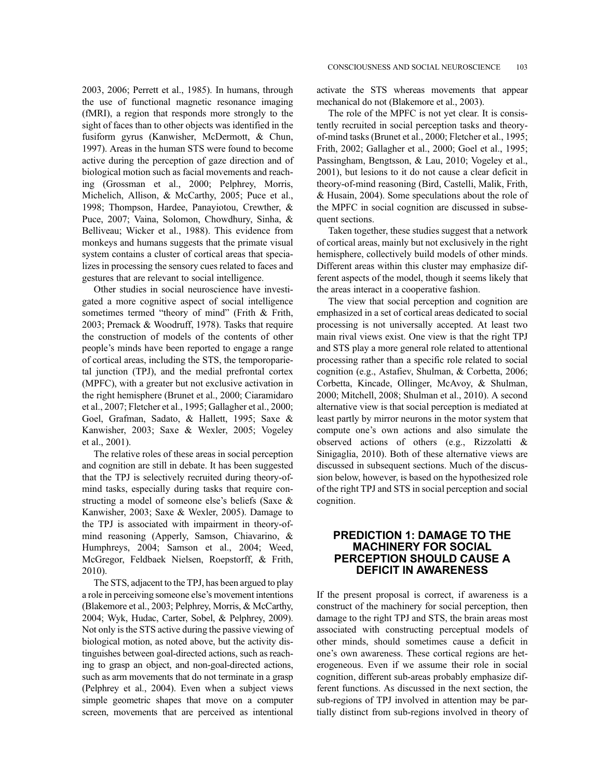2003, 2006; Perrett et al., 1985). In humans, through the use of functional magnetic resonance imaging (fMRI), a region that responds more strongly to the sight of faces than to other objects was identified in the fusiform gyrus (Kanwisher, McDermott, & Chun, 1997). Areas in the human STS were found to become active during the perception of gaze direction and of biological motion such as facial movements and reaching (Grossman et al., 2000; Pelphrey, Morris, Michelich, Allison, & McCarthy, 2005; Puce et al., 1998; Thompson, Hardee, Panayiotou, Crewther, & Puce, 2007; Vaina, Solomon, Chowdhury, Sinha, & Belliveau; Wicker et al., 1988). This evidence from monkeys and humans suggests that the primate visual system contains a cluster of cortical areas that specializes in processing the sensory cues related to faces and gestures that are relevant to social intelligence.

Other studies in social neuroscience have investigated a more cognitive aspect of social intelligence sometimes termed "theory of mind" (Frith & Frith, 2003; Premack & Woodruff, 1978). Tasks that require the construction of models of the contents of other people's minds have been reported to engage a range of cortical areas, including the STS, the temporoparietal junction (TPJ), and the medial prefrontal cortex (MPFC), with a greater but not exclusive activation in the right hemisphere (Brunet et al., 2000; Ciaramidaro et al., 2007; Fletcher et al., 1995; Gallagher et al., 2000; Goel, Grafman, Sadato, & Hallett, 1995; Saxe & Kanwisher, 2003; Saxe & Wexler, 2005; Vogeley et al., 2001).

The relative roles of these areas in social perception and cognition are still in debate. It has been suggested that the TPJ is selectively recruited during theory-ofmind tasks, especially during tasks that require constructing a model of someone else's beliefs (Saxe & Kanwisher, 2003; Saxe & Wexler, 2005). Damage to the TPJ is associated with impairment in theory-ofmind reasoning (Apperly, Samson, Chiavarino, & Humphreys, 2004; Samson et al., 2004; Weed, McGregor, Feldbaek Nielsen, Roepstorff, & Frith, 2010).

The STS, adjacent to the TPJ, has been argued to play a role in perceiving someone else's movement intentions (Blakemore et al., 2003; Pelphrey, Morris, & McCarthy, 2004; Wyk, Hudac, Carter, Sobel, & Pelphrey, 2009). Not only is the STS active during the passive viewing of biological motion, as noted above, but the activity distinguishes between goal-directed actions, such as reaching to grasp an object, and non-goal-directed actions, such as arm movements that do not terminate in a grasp (Pelphrey et al., 2004). Even when a subject views simple geometric shapes that move on a computer screen, movements that are perceived as intentional activate the STS whereas movements that appear mechanical do not (Blakemore et al., 2003).

The role of the MPFC is not yet clear. It is consistently recruited in social perception tasks and theoryof-mind tasks (Brunet et al., 2000; Fletcher et al., 1995; Frith, 2002; Gallagher et al., 2000; Goel et al., 1995; Passingham, Bengtsson, & Lau, 2010; Vogeley et al., 2001), but lesions to it do not cause a clear deficit in theory-of-mind reasoning (Bird, Castelli, Malik, Frith, & Husain, 2004). Some speculations about the role of the MPFC in social cognition are discussed in subsequent sections.

Taken together, these studies suggest that a network of cortical areas, mainly but not exclusively in the right hemisphere, collectively build models of other minds. Different areas within this cluster may emphasize different aspects of the model, though it seems likely that the areas interact in a cooperative fashion.

The view that social perception and cognition are emphasized in a set of cortical areas dedicated to social processing is not universally accepted. At least two main rival views exist. One view is that the right TPJ and STS play a more general role related to attentional processing rather than a specific role related to social cognition (e.g., Astafiev, Shulman, & Corbetta, 2006; Corbetta, Kincade, Ollinger, McAvoy, & Shulman, 2000; Mitchell, 2008; Shulman et al., 2010). A second alternative view is that social perception is mediated at least partly by mirror neurons in the motor system that compute one's own actions and also simulate the observed actions of others (e.g., Rizzolatti & Sinigaglia, 2010). Both of these alternative views are discussed in subsequent sections. Much of the discussion below, however, is based on the hypothesized role of the right TPJ and STS in social perception and social cognition.

### PREDICTION 1: DAMAGE TO THE MACHINERY FOR SOCIAL PERCEPTION SHOULD CAUSE A DEFICIT IN AWARENESS

If the present proposal is correct, if awareness is a construct of the machinery for social perception, then damage to the right TPJ and STS, the brain areas most associated with constructing perceptual models of other minds, should sometimes cause a deficit in one's own awareness. These cortical regions are heterogeneous. Even if we assume their role in social cognition, different sub-areas probably emphasize different functions. As discussed in the next section, the sub-regions of TPJ involved in attention may be partially distinct from sub-regions involved in theory of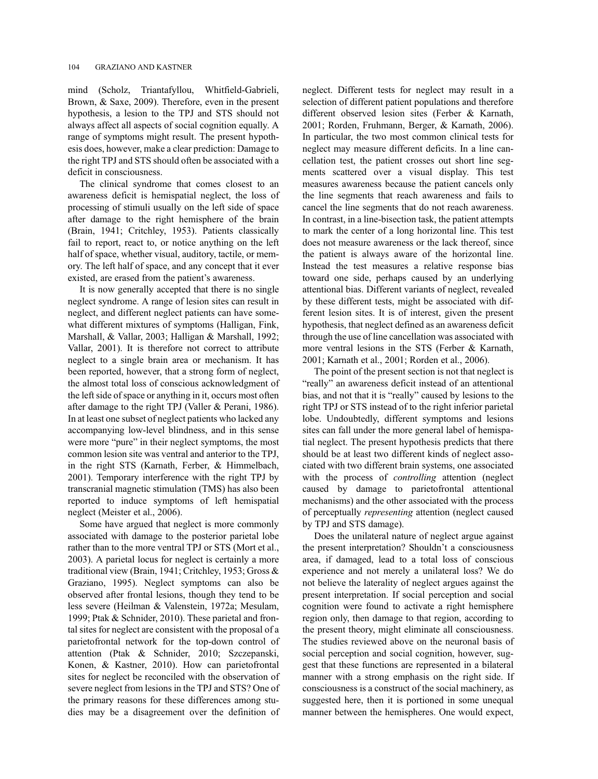mind (Scholz, Triantafyllou, Whitfield-Gabrieli, Brown, & Saxe, 2009). Therefore, even in the present hypothesis, a lesion to the TPJ and STS should not always affect all aspects of social cognition equally. A range of symptoms might result. The present hypothesis does, however, make a clear prediction: Damage to the right TPJ and STS should often be associated with a deficit in consciousness.

The clinical syndrome that comes closest to an awareness deficit is hemispatial neglect, the loss of processing of stimuli usually on the left side of space after damage to the right hemisphere of the brain (Brain, 1941; Critchley, 1953). Patients classically fail to report, react to, or notice anything on the left half of space, whether visual, auditory, tactile, or memory. The left half of space, and any concept that it ever existed, are erased from the patient's awareness.

It is now generally accepted that there is no single neglect syndrome. A range of lesion sites can result in neglect, and different neglect patients can have somewhat different mixtures of symptoms (Halligan, Fink, Marshall, & Vallar, 2003; Halligan & Marshall, 1992; Vallar, 2001). It is therefore not correct to attribute neglect to a single brain area or mechanism. It has been reported, however, that a strong form of neglect, the almost total loss of conscious acknowledgment of the left side of space or anything in it, occurs most often after damage to the right TPJ (Valler & Perani, 1986). In at least one subset of neglect patients who lacked any accompanying low-level blindness, and in this sense were more "pure" in their neglect symptoms, the most common lesion site was ventral and anterior to the TPJ, in the right STS (Karnath, Ferber, & Himmelbach, 2001). Temporary interference with the right TPJ by transcranial magnetic stimulation (TMS) has also been reported to induce symptoms of left hemispatial neglect (Meister et al., 2006).

Some have argued that neglect is more commonly associated with damage to the posterior parietal lobe rather than to the more ventral TPJ or STS (Mort et al., 2003). A parietal locus for neglect is certainly a more traditional view (Brain, 1941; Critchley, 1953; Gross & Graziano, 1995). Neglect symptoms can also be observed after frontal lesions, though they tend to be less severe (Heilman & Valenstein, 1972a; Mesulam, 1999; Ptak & Schnider, 2010). These parietal and frontal sites for neglect are consistent with the proposal of a parietofrontal network for the top-down control of attention (Ptak & Schnider, 2010; Szczepanski, Konen, & Kastner, 2010). How can parietofrontal sites for neglect be reconciled with the observation of severe neglect from lesions in the TPJ and STS? One of the primary reasons for these differences among studies may be a disagreement over the definition of neglect. Different tests for neglect may result in a selection of different patient populations and therefore different observed lesion sites (Ferber & Karnath, 2001; Rorden, Fruhmann, Berger, & Karnath, 2006). In particular, the two most common clinical tests for neglect may measure different deficits. In a line cancellation test, the patient crosses out short line segments scattered over a visual display. This test measures awareness because the patient cancels only the line segments that reach awareness and fails to cancel the line segments that do not reach awareness. In contrast, in a line-bisection task, the patient attempts to mark the center of a long horizontal line. This test does not measure awareness or the lack thereof, since the patient is always aware of the horizontal line. Instead the test measures a relative response bias toward one side, perhaps caused by an underlying attentional bias. Different variants of neglect, revealed by these different tests, might be associated with different lesion sites. It is of interest, given the present hypothesis, that neglect defined as an awareness deficit through the use of line cancellation was associated with more ventral lesions in the STS (Ferber & Karnath, 2001; Karnath et al., 2001; Rorden et al., 2006).

The point of the present section is not that neglect is "really" an awareness deficit instead of an attentional bias, and not that it is "really" caused by lesions to the right TPJ or STS instead of to the right inferior parietal lobe. Undoubtedly, different symptoms and lesions sites can fall under the more general label of hemispatial neglect. The present hypothesis predicts that there should be at least two different kinds of neglect associated with two different brain systems, one associated with the process of *controlling* attention (neglect caused by damage to parietofrontal attentional mechanisms) and the other associated with the process of perceptually representing attention (neglect caused by TPJ and STS damage).

Does the unilateral nature of neglect argue against the present interpretation? Shouldn't a consciousness area, if damaged, lead to a total loss of conscious experience and not merely a unilateral loss? We do not believe the laterality of neglect argues against the present interpretation. If social perception and social cognition were found to activate a right hemisphere region only, then damage to that region, according to the present theory, might eliminate all consciousness. The studies reviewed above on the neuronal basis of social perception and social cognition, however, suggest that these functions are represented in a bilateral manner with a strong emphasis on the right side. If consciousness is a construct of the social machinery, as suggested here, then it is portioned in some unequal manner between the hemispheres. One would expect,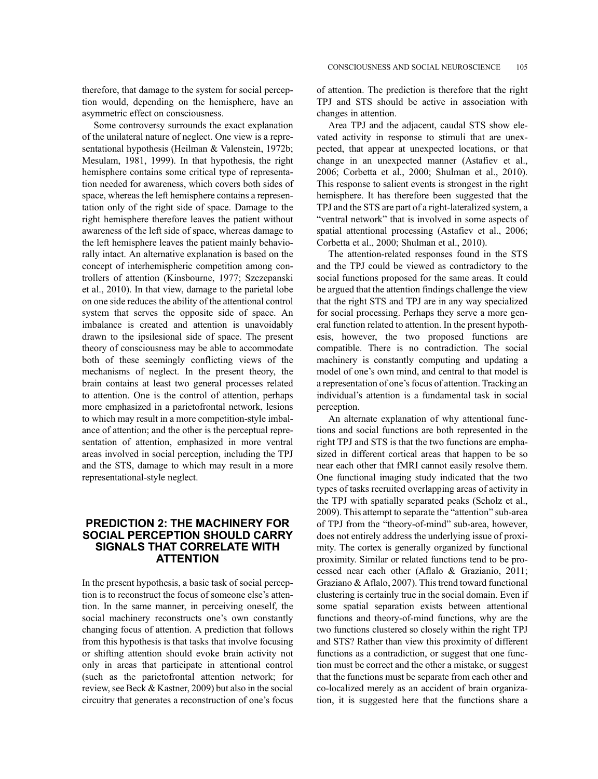therefore, that damage to the system for social perception would, depending on the hemisphere, have an asymmetric effect on consciousness.

Some controversy surrounds the exact explanation of the unilateral nature of neglect. One view is a representational hypothesis (Heilman & Valenstein, 1972b; Mesulam, 1981, 1999). In that hypothesis, the right hemisphere contains some critical type of representation needed for awareness, which covers both sides of space, whereas the left hemisphere contains a representation only of the right side of space. Damage to the right hemisphere therefore leaves the patient without awareness of the left side of space, whereas damage to the left hemisphere leaves the patient mainly behaviorally intact. An alternative explanation is based on the concept of interhemispheric competition among controllers of attention (Kinsbourne, 1977; Szczepanski et al., 2010). In that view, damage to the parietal lobe on one side reduces the ability of the attentional control system that serves the opposite side of space. An imbalance is created and attention is unavoidably drawn to the ipsilesional side of space. The present theory of consciousness may be able to accommodate both of these seemingly conflicting views of the mechanisms of neglect. In the present theory, the brain contains at least two general processes related to attention. One is the control of attention, perhaps more emphasized in a parietofrontal network, lesions to which may result in a more competition-style imbalance of attention; and the other is the perceptual representation of attention, emphasized in more ventral areas involved in social perception, including the TPJ and the STS, damage to which may result in a more representational-style neglect.

### PREDICTION 2: THE MACHINERY FOR SOCIAL PERCEPTION SHOULD CARRY SIGNALS THAT CORRELATE WITH **ATTENTION**

In the present hypothesis, a basic task of social perception is to reconstruct the focus of someone else's attention. In the same manner, in perceiving oneself, the social machinery reconstructs one's own constantly changing focus of attention. A prediction that follows from this hypothesis is that tasks that involve focusing or shifting attention should evoke brain activity not only in areas that participate in attentional control (such as the parietofrontal attention network; for review, see Beck & Kastner, 2009) but also in the social circuitry that generates a reconstruction of one's focus of attention. The prediction is therefore that the right TPJ and STS should be active in association with changes in attention.

Area TPJ and the adjacent, caudal STS show elevated activity in response to stimuli that are unexpected, that appear at unexpected locations, or that change in an unexpected manner (Astafiev et al., 2006; Corbetta et al., 2000; Shulman et al., 2010). This response to salient events is strongest in the right hemisphere. It has therefore been suggested that the TPJ and the STS are part of a right-lateralized system, a "ventral network" that is involved in some aspects of spatial attentional processing (Astafiev et al., 2006; Corbetta et al., 2000; Shulman et al., 2010).

The attention-related responses found in the STS and the TPJ could be viewed as contradictory to the social functions proposed for the same areas. It could be argued that the attention findings challenge the view that the right STS and TPJ are in any way specialized for social processing. Perhaps they serve a more general function related to attention. In the present hypothesis, however, the two proposed functions are compatible. There is no contradiction. The social machinery is constantly computing and updating a model of one's own mind, and central to that model is a representation of one's focus of attention. Tracking an individual's attention is a fundamental task in social perception.

An alternate explanation of why attentional functions and social functions are both represented in the right TPJ and STS is that the two functions are emphasized in different cortical areas that happen to be so near each other that fMRI cannot easily resolve them. One functional imaging study indicated that the two types of tasks recruited overlapping areas of activity in the TPJ with spatially separated peaks (Scholz et al., 2009). This attempt to separate the "attention" sub-area of TPJ from the "theory-of-mind" sub-area, however, does not entirely address the underlying issue of proximity. The cortex is generally organized by functional proximity. Similar or related functions tend to be processed near each other (Aflalo & Grazianio, 2011; Graziano & Aflalo, 2007). This trend toward functional clustering is certainly true in the social domain. Even if some spatial separation exists between attentional functions and theory-of-mind functions, why are the two functions clustered so closely within the right TPJ and STS? Rather than view this proximity of different functions as a contradiction, or suggest that one function must be correct and the other a mistake, or suggest that the functions must be separate from each other and co-localized merely as an accident of brain organization, it is suggested here that the functions share a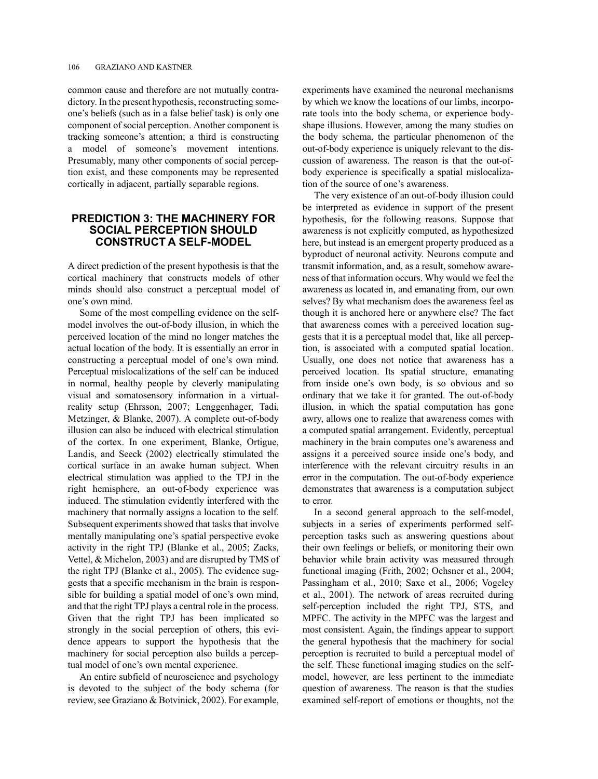common cause and therefore are not mutually contradictory. In the present hypothesis, reconstructing someone's beliefs (such as in a false belief task) is only one component of social perception. Another component is tracking someone's attention; a third is constructing a model of someone's movement intentions. Presumably, many other components of social perception exist, and these components may be represented cortically in adjacent, partially separable regions.

### PREDICTION 3: THE MACHINERY FOR SOCIAL PERCEPTION SHOULD CONSTRUCT A SELF-MODEL

A direct prediction of the present hypothesis is that the cortical machinery that constructs models of other minds should also construct a perceptual model of one's own mind.

Some of the most compelling evidence on the selfmodel involves the out-of-body illusion, in which the perceived location of the mind no longer matches the actual location of the body. It is essentially an error in constructing a perceptual model of one's own mind. Perceptual mislocalizations of the self can be induced in normal, healthy people by cleverly manipulating visual and somatosensory information in a virtualreality setup (Ehrsson, 2007; Lenggenhager, Tadi, Metzinger, & Blanke, 2007). A complete out-of-body illusion can also be induced with electrical stimulation of the cortex. In one experiment, Blanke, Ortigue, Landis, and Seeck (2002) electrically stimulated the cortical surface in an awake human subject. When electrical stimulation was applied to the TPJ in the right hemisphere, an out-of-body experience was induced. The stimulation evidently interfered with the machinery that normally assigns a location to the self. Subsequent experiments showed that tasks that involve mentally manipulating one's spatial perspective evoke activity in the right TPJ (Blanke et al., 2005; Zacks, Vettel, & Michelon, 2003) and are disrupted by TMS of the right TPJ (Blanke et al., 2005). The evidence suggests that a specific mechanism in the brain is responsible for building a spatial model of one's own mind, and that the right TPJ plays a central role in the process. Given that the right TPJ has been implicated so strongly in the social perception of others, this evidence appears to support the hypothesis that the machinery for social perception also builds a perceptual model of one's own mental experience.

An entire subfield of neuroscience and psychology is devoted to the subject of the body schema (for review, see Graziano & Botvinick, 2002). For example, experiments have examined the neuronal mechanisms by which we know the locations of our limbs, incorporate tools into the body schema, or experience bodyshape illusions. However, among the many studies on the body schema, the particular phenomenon of the out-of-body experience is uniquely relevant to the discussion of awareness. The reason is that the out-ofbody experience is specifically a spatial mislocalization of the source of one's awareness.

The very existence of an out-of-body illusion could be interpreted as evidence in support of the present hypothesis, for the following reasons. Suppose that awareness is not explicitly computed, as hypothesized here, but instead is an emergent property produced as a byproduct of neuronal activity. Neurons compute and transmit information, and, as a result, somehow awareness of that information occurs. Why would we feel the awareness as located in, and emanating from, our own selves? By what mechanism does the awareness feel as though it is anchored here or anywhere else? The fact that awareness comes with a perceived location suggests that it is a perceptual model that, like all perception, is associated with a computed spatial location. Usually, one does not notice that awareness has a perceived location. Its spatial structure, emanating from inside one's own body, is so obvious and so ordinary that we take it for granted. The out-of-body illusion, in which the spatial computation has gone awry, allows one to realize that awareness comes with a computed spatial arrangement. Evidently, perceptual machinery in the brain computes one's awareness and assigns it a perceived source inside one's body, and interference with the relevant circuitry results in an error in the computation. The out-of-body experience demonstrates that awareness is a computation subject to error.

In a second general approach to the self-model, subjects in a series of experiments performed selfperception tasks such as answering questions about their own feelings or beliefs, or monitoring their own behavior while brain activity was measured through functional imaging (Frith, 2002; Ochsner et al., 2004; Passingham et al., 2010; Saxe et al., 2006; Vogeley et al., 2001). The network of areas recruited during self-perception included the right TPJ, STS, and MPFC. The activity in the MPFC was the largest and most consistent. Again, the findings appear to support the general hypothesis that the machinery for social perception is recruited to build a perceptual model of the self. These functional imaging studies on the selfmodel, however, are less pertinent to the immediate question of awareness. The reason is that the studies examined self-report of emotions or thoughts, not the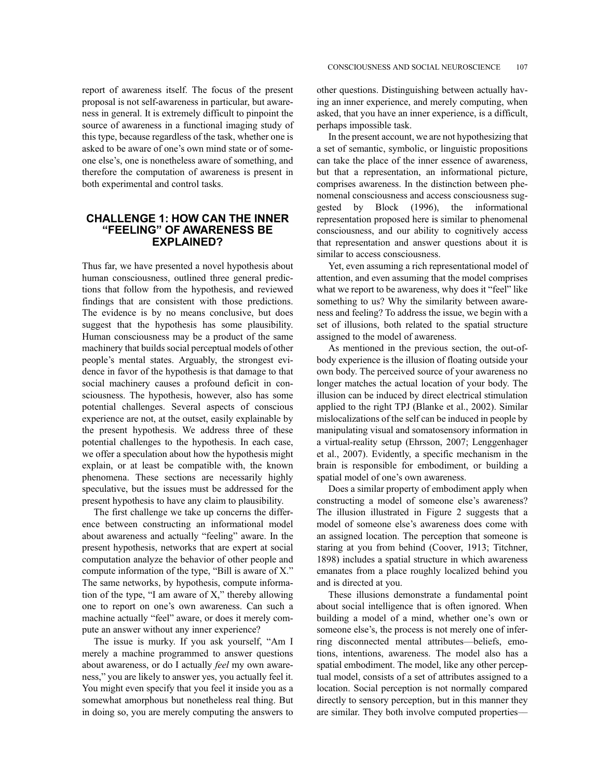report of awareness itself. The focus of the present proposal is not self-awareness in particular, but awareness in general. It is extremely difficult to pinpoint the source of awareness in a functional imaging study of this type, because regardless of the task, whether one is asked to be aware of one's own mind state or of someone else's, one is nonetheless aware of something, and therefore the computation of awareness is present in both experimental and control tasks.

### CHALLENGE 1: HOW CAN THE INNER "FEELING" OF AWARENESS BE EXPLAINED?

Thus far, we have presented a novel hypothesis about human consciousness, outlined three general predictions that follow from the hypothesis, and reviewed findings that are consistent with those predictions. The evidence is by no means conclusive, but does suggest that the hypothesis has some plausibility. Human consciousness may be a product of the same machinery that builds social perceptual models of other people's mental states. Arguably, the strongest evidence in favor of the hypothesis is that damage to that social machinery causes a profound deficit in consciousness. The hypothesis, however, also has some potential challenges. Several aspects of conscious experience are not, at the outset, easily explainable by the present hypothesis. We address three of these potential challenges to the hypothesis. In each case, we offer a speculation about how the hypothesis might explain, or at least be compatible with, the known phenomena. These sections are necessarily highly speculative, but the issues must be addressed for the present hypothesis to have any claim to plausibility.

The first challenge we take up concerns the difference between constructing an informational model about awareness and actually "feeling" aware. In the present hypothesis, networks that are expert at social computation analyze the behavior of other people and compute information of the type, "Bill is aware of X." The same networks, by hypothesis, compute information of the type, "I am aware of X," thereby allowing one to report on one's own awareness. Can such a machine actually "feel" aware, or does it merely compute an answer without any inner experience?

The issue is murky. If you ask yourself, "Am I merely a machine programmed to answer questions about awareness, or do I actually *feel* my own awareness," you are likely to answer yes, you actually feel it. You might even specify that you feel it inside you as a somewhat amorphous but nonetheless real thing. But in doing so, you are merely computing the answers to

other questions. Distinguishing between actually having an inner experience, and merely computing, when asked, that you have an inner experience, is a difficult, perhaps impossible task.

In the present account, we are not hypothesizing that a set of semantic, symbolic, or linguistic propositions can take the place of the inner essence of awareness, but that a representation, an informational picture, comprises awareness. In the distinction between phenomenal consciousness and access consciousness suggested by Block (1996), the informational representation proposed here is similar to phenomenal consciousness, and our ability to cognitively access that representation and answer questions about it is similar to access consciousness.

Yet, even assuming a rich representational model of attention, and even assuming that the model comprises what we report to be awareness, why does it "feel" like something to us? Why the similarity between awareness and feeling? To address the issue, we begin with a set of illusions, both related to the spatial structure assigned to the model of awareness.

As mentioned in the previous section, the out-ofbody experience is the illusion of floating outside your own body. The perceived source of your awareness no longer matches the actual location of your body. The illusion can be induced by direct electrical stimulation applied to the right TPJ (Blanke et al., 2002). Similar mislocalizations of the self can be induced in people by manipulating visual and somatosensory information in a virtual-reality setup (Ehrsson, 2007; Lenggenhager et al., 2007). Evidently, a specific mechanism in the brain is responsible for embodiment, or building a spatial model of one's own awareness.

Does a similar property of embodiment apply when constructing a model of someone else's awareness? The illusion illustrated in Figure 2 suggests that a model of someone else's awareness does come with an assigned location. The perception that someone is staring at you from behind (Coover, 1913; Titchner, 1898) includes a spatial structure in which awareness emanates from a place roughly localized behind you and is directed at you.

These illusions demonstrate a fundamental point about social intelligence that is often ignored. When building a model of a mind, whether one's own or someone else's, the process is not merely one of inferring disconnected mental attributes––beliefs, emotions, intentions, awareness. The model also has a spatial embodiment. The model, like any other perceptual model, consists of a set of attributes assigned to a location. Social perception is not normally compared directly to sensory perception, but in this manner they are similar. They both involve computed properties––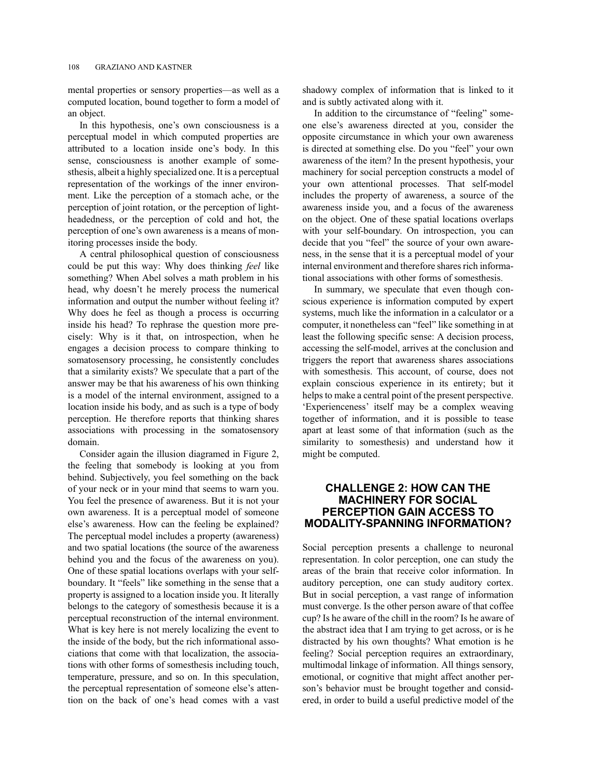mental properties or sensory properties—as well as a computed location, bound together to form a model of an object.

In this hypothesis, one's own consciousness is a perceptual model in which computed properties are attributed to a location inside one's body. In this sense, consciousness is another example of somesthesis, albeit a highly specialized one. It is a perceptual representation of the workings of the inner environment. Like the perception of a stomach ache, or the perception of joint rotation, or the perception of lightheadedness, or the perception of cold and hot, the perception of one's own awareness is a means of monitoring processes inside the body.

A central philosophical question of consciousness could be put this way: Why does thinking feel like something? When Abel solves a math problem in his head, why doesn't he merely process the numerical information and output the number without feeling it? Why does he feel as though a process is occurring inside his head? To rephrase the question more precisely: Why is it that, on introspection, when he engages a decision process to compare thinking to somatosensory processing, he consistently concludes that a similarity exists? We speculate that a part of the answer may be that his awareness of his own thinking is a model of the internal environment, assigned to a location inside his body, and as such is a type of body perception. He therefore reports that thinking shares associations with processing in the somatosensory domain.

Consider again the illusion diagramed in Figure 2, the feeling that somebody is looking at you from behind. Subjectively, you feel something on the back of your neck or in your mind that seems to warn you. You feel the presence of awareness. But it is not your own awareness. It is a perceptual model of someone else's awareness. How can the feeling be explained? The perceptual model includes a property (awareness) and two spatial locations (the source of the awareness behind you and the focus of the awareness on you). One of these spatial locations overlaps with your selfboundary. It "feels" like something in the sense that a property is assigned to a location inside you. It literally belongs to the category of somesthesis because it is a perceptual reconstruction of the internal environment. What is key here is not merely localizing the event to the inside of the body, but the rich informational associations that come with that localization, the associations with other forms of somesthesis including touch, temperature, pressure, and so on. In this speculation, the perceptual representation of someone else's attention on the back of one's head comes with a vast shadowy complex of information that is linked to it and is subtly activated along with it.

In addition to the circumstance of "feeling" someone else's awareness directed at you, consider the opposite circumstance in which your own awareness is directed at something else. Do you "feel" your own awareness of the item? In the present hypothesis, your machinery for social perception constructs a model of your own attentional processes. That self-model includes the property of awareness, a source of the awareness inside you, and a focus of the awareness on the object. One of these spatial locations overlaps with your self-boundary. On introspection, you can decide that you "feel" the source of your own awareness, in the sense that it is a perceptual model of your internal environment and therefore shares rich informational associations with other forms of somesthesis.

In summary, we speculate that even though conscious experience is information computed by expert systems, much like the information in a calculator or a computer, it nonetheless can "feel" like something in at least the following specific sense: A decision process, accessing the self-model, arrives at the conclusion and triggers the report that awareness shares associations with somesthesis. This account, of course, does not explain conscious experience in its entirety; but it helps to make a central point of the present perspective. 'Experienceness' itself may be a complex weaving together of information, and it is possible to tease apart at least some of that information (such as the similarity to somesthesis) and understand how it might be computed.

### CHALLENGE 2: HOW CAN THE MACHINERY FOR SOCIAL PERCEPTION GAIN ACCESS TO MODALITY-SPANNING INFORMATION?

Social perception presents a challenge to neuronal representation. In color perception, one can study the areas of the brain that receive color information. In auditory perception, one can study auditory cortex. But in social perception, a vast range of information must converge. Is the other person aware of that coffee cup? Is he aware of the chill in the room? Is he aware of the abstract idea that I am trying to get across, or is he distracted by his own thoughts? What emotion is he feeling? Social perception requires an extraordinary, multimodal linkage of information. All things sensory, emotional, or cognitive that might affect another person's behavior must be brought together and considered, in order to build a useful predictive model of the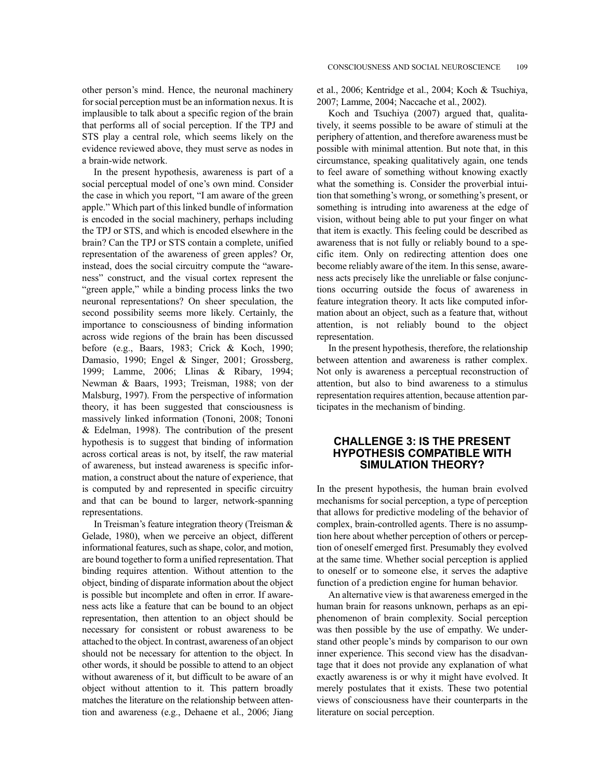other person's mind. Hence, the neuronal machinery for social perception must be an information nexus. It is implausible to talk about a specific region of the brain that performs all of social perception. If the TPJ and STS play a central role, which seems likely on the evidence reviewed above, they must serve as nodes in a brain-wide network.

In the present hypothesis, awareness is part of a social perceptual model of one's own mind. Consider the case in which you report, "I am aware of the green apple." Which part of this linked bundle of information is encoded in the social machinery, perhaps including the TPJ or STS, and which is encoded elsewhere in the brain? Can the TPJ or STS contain a complete, unified representation of the awareness of green apples? Or, instead, does the social circuitry compute the "awareness" construct, and the visual cortex represent the "green apple," while a binding process links the two neuronal representations? On sheer speculation, the second possibility seems more likely. Certainly, the importance to consciousness of binding information across wide regions of the brain has been discussed before (e.g., Baars, 1983; Crick & Koch, 1990; Damasio, 1990; Engel & Singer, 2001; Grossberg, 1999; Lamme, 2006; Llinas & Ribary, 1994; Newman & Baars, 1993; Treisman, 1988; von der Malsburg, 1997). From the perspective of information theory, it has been suggested that consciousness is massively linked information (Tononi, 2008; Tononi & Edelman, 1998). The contribution of the present hypothesis is to suggest that binding of information across cortical areas is not, by itself, the raw material of awareness, but instead awareness is specific information, a construct about the nature of experience, that is computed by and represented in specific circuitry and that can be bound to larger, network-spanning representations.

In Treisman's feature integration theory (Treisman & Gelade, 1980), when we perceive an object, different informational features, such as shape, color, and motion, are bound together to form a unified representation. That binding requires attention. Without attention to the object, binding of disparate information about the object is possible but incomplete and often in error. If awareness acts like a feature that can be bound to an object representation, then attention to an object should be necessary for consistent or robust awareness to be attached to the object. In contrast, awareness of an object should not be necessary for attention to the object. In other words, it should be possible to attend to an object without awareness of it, but difficult to be aware of an object without attention to it. This pattern broadly matches the literature on the relationship between attention and awareness (e.g., Dehaene et al., 2006; Jiang et al., 2006; Kentridge et al., 2004; Koch & Tsuchiya, 2007; Lamme, 2004; Naccache et al., 2002).

Koch and Tsuchiya (2007) argued that, qualitatively, it seems possible to be aware of stimuli at the periphery of attention, and therefore awareness must be possible with minimal attention. But note that, in this circumstance, speaking qualitatively again, one tends to feel aware of something without knowing exactly what the something is. Consider the proverbial intuition that something's wrong, or something's present, or something is intruding into awareness at the edge of vision, without being able to put your finger on what that item is exactly. This feeling could be described as awareness that is not fully or reliably bound to a specific item. Only on redirecting attention does one become reliably aware of the item. In this sense, awareness acts precisely like the unreliable or false conjunctions occurring outside the focus of awareness in feature integration theory. It acts like computed information about an object, such as a feature that, without attention, is not reliably bound to the object representation.

In the present hypothesis, therefore, the relationship between attention and awareness is rather complex. Not only is awareness a perceptual reconstruction of attention, but also to bind awareness to a stimulus representation requires attention, because attention participates in the mechanism of binding.

### CHALLENGE 3: IS THE PRESENT HYPOTHESIS COMPATIBLE WITH SIMULATION THEORY?

In the present hypothesis, the human brain evolved mechanisms for social perception, a type of perception that allows for predictive modeling of the behavior of complex, brain-controlled agents. There is no assumption here about whether perception of others or perception of oneself emerged first. Presumably they evolved at the same time. Whether social perception is applied to oneself or to someone else, it serves the adaptive function of a prediction engine for human behavior.

An alternative view is that awareness emerged in the human brain for reasons unknown, perhaps as an epiphenomenon of brain complexity. Social perception was then possible by the use of empathy. We understand other people's minds by comparison to our own inner experience. This second view has the disadvantage that it does not provide any explanation of what exactly awareness is or why it might have evolved. It merely postulates that it exists. These two potential views of consciousness have their counterparts in the literature on social perception.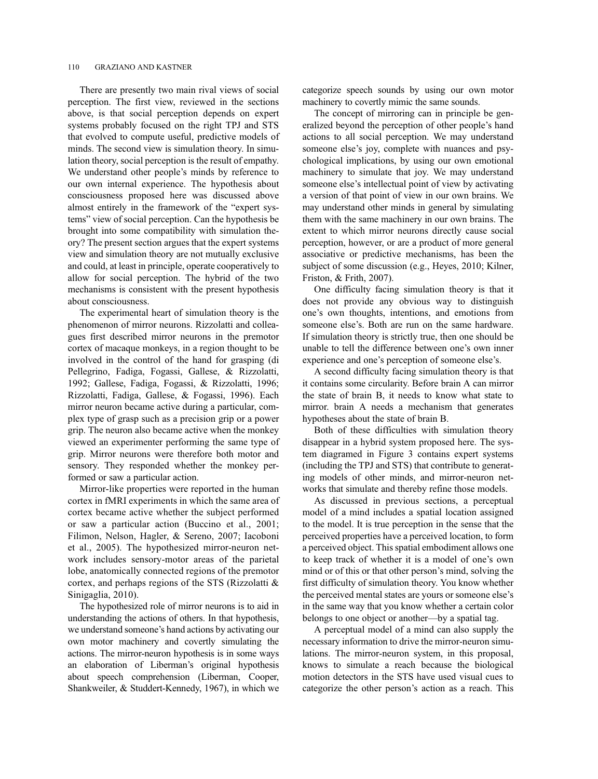There are presently two main rival views of social perception. The first view, reviewed in the sections above, is that social perception depends on expert systems probably focused on the right TPJ and STS that evolved to compute useful, predictive models of minds. The second view is simulation theory. In simulation theory, social perception is the result of empathy. We understand other people's minds by reference to our own internal experience. The hypothesis about consciousness proposed here was discussed above almost entirely in the framework of the "expert systems" view of social perception. Can the hypothesis be brought into some compatibility with simulation theory? The present section argues that the expert systems view and simulation theory are not mutually exclusive and could, at least in principle, operate cooperatively to allow for social perception. The hybrid of the two mechanisms is consistent with the present hypothesis about consciousness.

The experimental heart of simulation theory is the phenomenon of mirror neurons. Rizzolatti and colleagues first described mirror neurons in the premotor cortex of macaque monkeys, in a region thought to be involved in the control of the hand for grasping (di Pellegrino, Fadiga, Fogassi, Gallese, & Rizzolatti, 1992; Gallese, Fadiga, Fogassi, & Rizzolatti, 1996; Rizzolatti, Fadiga, Gallese, & Fogassi, 1996). Each mirror neuron became active during a particular, complex type of grasp such as a precision grip or a power grip. The neuron also became active when the monkey viewed an experimenter performing the same type of grip. Mirror neurons were therefore both motor and sensory. They responded whether the monkey performed or saw a particular action.

Mirror-like properties were reported in the human cortex in fMRI experiments in which the same area of cortex became active whether the subject performed or saw a particular action (Buccino et al., 2001; Filimon, Nelson, Hagler, & Sereno, 2007; Iacoboni et al., 2005). The hypothesized mirror-neuron network includes sensory-motor areas of the parietal lobe, anatomically connected regions of the premotor cortex, and perhaps regions of the STS (Rizzolatti & Sinigaglia, 2010).

The hypothesized role of mirror neurons is to aid in understanding the actions of others. In that hypothesis, we understand someone's hand actions by activating our own motor machinery and covertly simulating the actions. The mirror-neuron hypothesis is in some ways an elaboration of Liberman's original hypothesis about speech comprehension (Liberman, Cooper, Shankweiler, & Studdert-Kennedy, 1967), in which we categorize speech sounds by using our own motor machinery to covertly mimic the same sounds.

The concept of mirroring can in principle be generalized beyond the perception of other people's hand actions to all social perception. We may understand someone else's joy, complete with nuances and psychological implications, by using our own emotional machinery to simulate that joy. We may understand someone else's intellectual point of view by activating a version of that point of view in our own brains. We may understand other minds in general by simulating them with the same machinery in our own brains. The extent to which mirror neurons directly cause social perception, however, or are a product of more general associative or predictive mechanisms, has been the subject of some discussion (e.g., Heyes, 2010; Kilner, Friston, & Frith, 2007).

One difficulty facing simulation theory is that it does not provide any obvious way to distinguish one's own thoughts, intentions, and emotions from someone else's. Both are run on the same hardware. If simulation theory is strictly true, then one should be unable to tell the difference between one's own inner experience and one's perception of someone else's.

A second difficulty facing simulation theory is that it contains some circularity. Before brain A can mirror the state of brain B, it needs to know what state to mirror. brain A needs a mechanism that generates hypotheses about the state of brain B.

Both of these difficulties with simulation theory disappear in a hybrid system proposed here. The system diagramed in Figure 3 contains expert systems (including the TPJ and STS) that contribute to generating models of other minds, and mirror-neuron networks that simulate and thereby refine those models.

As discussed in previous sections, a perceptual model of a mind includes a spatial location assigned to the model. It is true perception in the sense that the perceived properties have a perceived location, to form a perceived object. This spatial embodiment allows one to keep track of whether it is a model of one's own mind or of this or that other person's mind, solving the first difficulty of simulation theory. You know whether the perceived mental states are yours or someone else's in the same way that you know whether a certain color belongs to one object or another—by a spatial tag.

A perceptual model of a mind can also supply the necessary information to drive the mirror-neuron simulations. The mirror-neuron system, in this proposal, knows to simulate a reach because the biological motion detectors in the STS have used visual cues to categorize the other person's action as a reach. This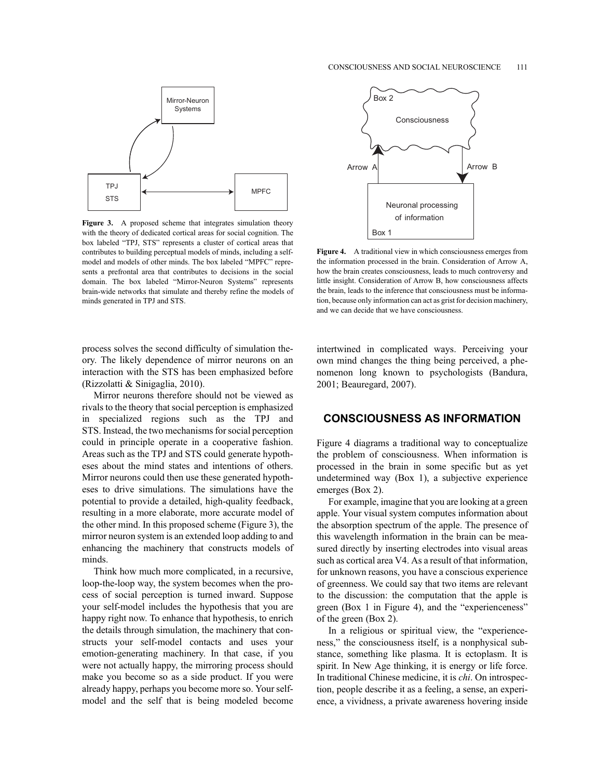

Figure 3. A proposed scheme that integrates simulation theory with the theory of dedicated cortical areas for social cognition. The box labeled "TPJ, STS" represents a cluster of cortical areas that contributes to building perceptual models of minds, including a selfmodel and models of other minds. The box labeled "MPFC" represents a prefrontal area that contributes to decisions in the social domain. The box labeled "Mirror-Neuron Systems" represents brain-wide networks that simulate and thereby refine the models of minds generated in TPJ and STS.

process solves the second difficulty of simulation theory. The likely dependence of mirror neurons on an interaction with the STS has been emphasized before (Rizzolatti & Sinigaglia, 2010).

Mirror neurons therefore should not be viewed as rivals to the theory that social perception is emphasized in specialized regions such as the TPJ and STS. Instead, the two mechanisms for social perception could in principle operate in a cooperative fashion. Areas such as the TPJ and STS could generate hypotheses about the mind states and intentions of others. Mirror neurons could then use these generated hypotheses to drive simulations. The simulations have the potential to provide a detailed, high-quality feedback, resulting in a more elaborate, more accurate model of the other mind. In this proposed scheme (Figure 3), the mirror neuron system is an extended loop adding to and enhancing the machinery that constructs models of minds.

Think how much more complicated, in a recursive, loop-the-loop way, the system becomes when the process of social perception is turned inward. Suppose your self-model includes the hypothesis that you are happy right now. To enhance that hypothesis, to enrich the details through simulation, the machinery that constructs your self-model contacts and uses your emotion-generating machinery. In that case, if you were not actually happy, the mirroring process should make you become so as a side product. If you were already happy, perhaps you become more so. Your selfmodel and the self that is being modeled become



Figure 4. A traditional view in which consciousness emerges from the information processed in the brain. Consideration of Arrow A, how the brain creates consciousness, leads to much controversy and little insight. Consideration of Arrow B, how consciousness affects the brain, leads to the inference that consciousness must be information, because only information can act as grist for decision machinery, and we can decide that we have consciousness.

intertwined in complicated ways. Perceiving your own mind changes the thing being perceived, a phenomenon long known to psychologists (Bandura, 2001; Beauregard, 2007).

### CONSCIOUSNESS AS INFORMATION

Figure 4 diagrams a traditional way to conceptualize the problem of consciousness. When information is processed in the brain in some specific but as yet undetermined way (Box 1), a subjective experience emerges (Box 2).

For example, imagine that you are looking at a green apple. Your visual system computes information about the absorption spectrum of the apple. The presence of this wavelength information in the brain can be measured directly by inserting electrodes into visual areas such as cortical area V4. As a result of that information, for unknown reasons, you have a conscious experience of greenness. We could say that two items are relevant to the discussion: the computation that the apple is green (Box 1 in Figure 4), and the "experienceness" of the green (Box 2).

In a religious or spiritual view, the "experienceness," the consciousness itself, is a nonphysical substance, something like plasma. It is ectoplasm. It is spirit. In New Age thinking, it is energy or life force. In traditional Chinese medicine, it is chi. On introspection, people describe it as a feeling, a sense, an experience, a vividness, a private awareness hovering inside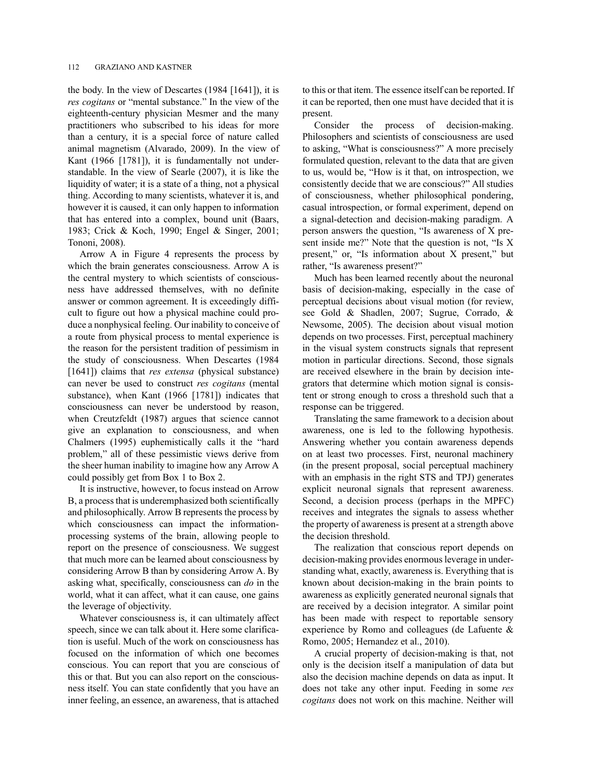the body. In the view of Descartes (1984 [1641]), it is res cogitans or "mental substance." In the view of the eighteenth-century physician Mesmer and the many practitioners who subscribed to his ideas for more than a century, it is a special force of nature called animal magnetism (Alvarado, 2009). In the view of Kant (1966 [1781]), it is fundamentally not understandable. In the view of Searle (2007), it is like the liquidity of water; it is a state of a thing, not a physical thing. According to many scientists, whatever it is, and however it is caused, it can only happen to information that has entered into a complex, bound unit (Baars, 1983; Crick & Koch, 1990; Engel & Singer, 2001; Tononi, 2008).

Arrow A in Figure 4 represents the process by which the brain generates consciousness. Arrow A is the central mystery to which scientists of consciousness have addressed themselves, with no definite answer or common agreement. It is exceedingly difficult to figure out how a physical machine could produce a nonphysical feeling. Our inability to conceive of a route from physical process to mental experience is the reason for the persistent tradition of pessimism in the study of consciousness. When Descartes (1984 [1641]) claims that *res extensa* (physical substance) can never be used to construct res cogitans (mental substance), when Kant (1966 [1781]) indicates that consciousness can never be understood by reason, when Creutzfeldt (1987) argues that science cannot give an explanation to consciousness, and when Chalmers (1995) euphemistically calls it the "hard problem," all of these pessimistic views derive from the sheer human inability to imagine how any Arrow A could possibly get from Box 1 to Box 2.

It is instructive, however, to focus instead on Arrow B, a process that is underemphasized both scientifically and philosophically. Arrow B represents the process by which consciousness can impact the informationprocessing systems of the brain, allowing people to report on the presence of consciousness. We suggest that much more can be learned about consciousness by considering Arrow B than by considering Arrow A. By asking what, specifically, consciousness can do in the world, what it can affect, what it can cause, one gains the leverage of objectivity.

Whatever consciousness is, it can ultimately affect speech, since we can talk about it. Here some clarification is useful. Much of the work on consciousness has focused on the information of which one becomes conscious. You can report that you are conscious of this or that. But you can also report on the consciousness itself. You can state confidently that you have an inner feeling, an essence, an awareness, that is attached

to this or that item. The essence itself can be reported. If it can be reported, then one must have decided that it is present.

Consider the process of decision-making. Philosophers and scientists of consciousness are used to asking, "What is consciousness?" A more precisely formulated question, relevant to the data that are given to us, would be, "How is it that, on introspection, we consistently decide that we are conscious?" All studies of consciousness, whether philosophical pondering, casual introspection, or formal experiment, depend on a signal-detection and decision-making paradigm. A person answers the question, "Is awareness of X present inside me?" Note that the question is not, "Is X present," or, "Is information about X present," but rather, "Is awareness present?"

Much has been learned recently about the neuronal basis of decision-making, especially in the case of perceptual decisions about visual motion (for review, see Gold & Shadlen, 2007; Sugrue, Corrado, & Newsome, 2005). The decision about visual motion depends on two processes. First, perceptual machinery in the visual system constructs signals that represent motion in particular directions. Second, those signals are received elsewhere in the brain by decision integrators that determine which motion signal is consistent or strong enough to cross a threshold such that a response can be triggered.

Translating the same framework to a decision about awareness, one is led to the following hypothesis. Answering whether you contain awareness depends on at least two processes. First, neuronal machinery (in the present proposal, social perceptual machinery with an emphasis in the right STS and TPJ) generates explicit neuronal signals that represent awareness. Second, a decision process (perhaps in the MPFC) receives and integrates the signals to assess whether the property of awareness is present at a strength above the decision threshold.

The realization that conscious report depends on decision-making provides enormous leverage in understanding what, exactly, awareness is. Everything that is known about decision-making in the brain points to awareness as explicitly generated neuronal signals that are received by a decision integrator. A similar point has been made with respect to reportable sensory experience by Romo and colleagues (de Lafuente & Romo, 2005; Hernandez et al., 2010).

A crucial property of decision-making is that, not only is the decision itself a manipulation of data but also the decision machine depends on data as input. It does not take any other input. Feeding in some res cogitans does not work on this machine. Neither will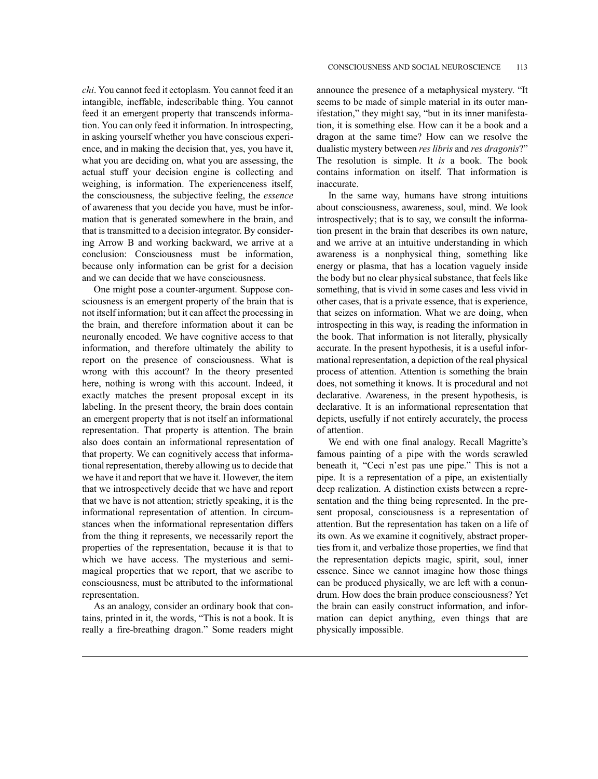chi. You cannot feed it ectoplasm. You cannot feed it an intangible, ineffable, indescribable thing. You cannot feed it an emergent property that transcends information. You can only feed it information. In introspecting, in asking yourself whether you have conscious experience, and in making the decision that, yes, you have it, what you are deciding on, what you are assessing, the actual stuff your decision engine is collecting and weighing, is information. The experienceness itself, the consciousness, the subjective feeling, the essence of awareness that you decide you have, must be information that is generated somewhere in the brain, and that is transmitted to a decision integrator. By considering Arrow B and working backward, we arrive at a conclusion: Consciousness must be information, because only information can be grist for a decision and we can decide that we have consciousness.

One might pose a counter-argument. Suppose consciousness is an emergent property of the brain that is not itself information; but it can affect the processing in the brain, and therefore information about it can be neuronally encoded. We have cognitive access to that information, and therefore ultimately the ability to report on the presence of consciousness. What is wrong with this account? In the theory presented here, nothing is wrong with this account. Indeed, it exactly matches the present proposal except in its labeling. In the present theory, the brain does contain an emergent property that is not itself an informational representation. That property is attention. The brain also does contain an informational representation of that property. We can cognitively access that informational representation, thereby allowing us to decide that we have it and report that we have it. However, the item that we introspectively decide that we have and report that we have is not attention; strictly speaking, it is the informational representation of attention. In circumstances when the informational representation differs from the thing it represents, we necessarily report the properties of the representation, because it is that to which we have access. The mysterious and semimagical properties that we report, that we ascribe to consciousness, must be attributed to the informational representation.

As an analogy, consider an ordinary book that contains, printed in it, the words, "This is not a book. It is really a fire-breathing dragon." Some readers might announce the presence of a metaphysical mystery. "It seems to be made of simple material in its outer manifestation," they might say, "but in its inner manifestation, it is something else. How can it be a book and a dragon at the same time? How can we resolve the dualistic mystery between res libris and res dragonis?" The resolution is simple. It is a book. The book contains information on itself. That information is inaccurate.

In the same way, humans have strong intuitions about consciousness, awareness, soul, mind. We look introspectively; that is to say, we consult the information present in the brain that describes its own nature, and we arrive at an intuitive understanding in which awareness is a nonphysical thing, something like energy or plasma, that has a location vaguely inside the body but no clear physical substance, that feels like something, that is vivid in some cases and less vivid in other cases, that is a private essence, that is experience, that seizes on information. What we are doing, when introspecting in this way, is reading the information in the book. That information is not literally, physically accurate. In the present hypothesis, it is a useful informational representation, a depiction of the real physical process of attention. Attention is something the brain does, not something it knows. It is procedural and not declarative. Awareness, in the present hypothesis, is declarative. It is an informational representation that depicts, usefully if not entirely accurately, the process of attention.

We end with one final analogy. Recall Magritte's famous painting of a pipe with the words scrawled beneath it, "Ceci n'est pas une pipe." This is not a pipe. It is a representation of a pipe, an existentially deep realization. A distinction exists between a representation and the thing being represented. In the present proposal, consciousness is a representation of attention. But the representation has taken on a life of its own. As we examine it cognitively, abstract properties from it, and verbalize those properties, we find that the representation depicts magic, spirit, soul, inner essence. Since we cannot imagine how those things can be produced physically, we are left with a conundrum. How does the brain produce consciousness? Yet the brain can easily construct information, and information can depict anything, even things that are physically impossible.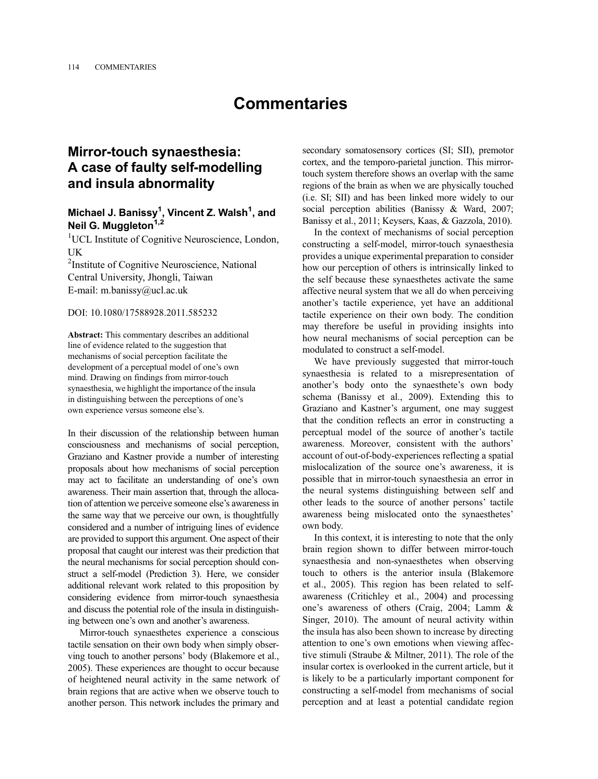# Commentaries

# Mirror-touch synaesthesia: A case of faulty self-modelling and insula abnormality

### Michael J. Banissy<sup>1</sup>, Vincent Z. Walsh<sup>1</sup>, and Neil G. Muggleton $1,2$

<sup>1</sup>UCL Institute of Cognitive Neuroscience, London, UK

<sup>2</sup>Institute of Cognitive Neuroscience, National Central University, Jhongli, Taiwan E-mail: m[.banissy@ucl.ac.uk](mailto:banissy@ucl.ac.uk)

#### DOI: 10.1080/17588928.2011.585232

Abstract: This commentary describes an additional line of evidence related to the suggestion that mechanisms of social perception facilitate the development of a perceptual model of one's own mind. Drawing on findings from mirror-touch synaesthesia, we highlight the importance of the insula in distinguishing between the perceptions of one's own experience versus someone else's.

In their discussion of the relationship between human consciousness and mechanisms of social perception, Graziano and Kastner provide a number of interesting proposals about how mechanisms of social perception may act to facilitate an understanding of one's own awareness. Their main assertion that, through the allocation of attention we perceive someone else's awareness in the same way that we perceive our own, is thoughtfully considered and a number of intriguing lines of evidence are provided to support this argument. One aspect of their proposal that caught our interest was their prediction that the neural mechanisms for social perception should construct a self-model (Prediction 3). Here, we consider additional relevant work related to this proposition by considering evidence from mirror-touch synaesthesia and discuss the potential role of the insula in distinguishing between one's own and another's awareness.

Mirror-touch synaesthetes experience a conscious tactile sensation on their own body when simply observing touch to another persons' body (Blakemore et al., 2005). These experiences are thought to occur because of heightened neural activity in the same network of brain regions that are active when we observe touch to another person. This network includes the primary and

secondary somatosensory cortices (SI; SII), premotor cortex, and the temporo-parietal junction. This mirrortouch system therefore shows an overlap with the same regions of the brain as when we are physically touched (i.e. SI; SII) and has been linked more widely to our social perception abilities (Banissy & Ward, 2007; Banissy et al., 2011; Keysers, Kaas, & Gazzola, 2010).

In the context of mechanisms of social perception constructing a self-model, mirror-touch synaesthesia provides a unique experimental preparation to consider how our perception of others is intrinsically linked to the self because these synaesthetes activate the same affective neural system that we all do when perceiving another's tactile experience, yet have an additional tactile experience on their own body. The condition may therefore be useful in providing insights into how neural mechanisms of social perception can be modulated to construct a self-model.

We have previously suggested that mirror-touch synaesthesia is related to a misrepresentation of another's body onto the synaesthete's own body schema (Banissy et al., 2009). Extending this to Graziano and Kastner's argument, one may suggest that the condition reflects an error in constructing a perceptual model of the source of another's tactile awareness. Moreover, consistent with the authors' account of out-of-body-experiences reflecting a spatial mislocalization of the source one's awareness, it is possible that in mirror-touch synaesthesia an error in the neural systems distinguishing between self and other leads to the source of another persons' tactile awareness being mislocated onto the synaesthetes' own body.

In this context, it is interesting to note that the only brain region shown to differ between mirror-touch synaesthesia and non-synaesthetes when observing touch to others is the anterior insula (Blakemore et al., 2005). This region has been related to selfawareness (Critichley et al., 2004) and processing one's awareness of others (Craig, 2004; Lamm & Singer, 2010). The amount of neural activity within the insula has also been shown to increase by directing attention to one's own emotions when viewing affective stimuli (Straube & Miltner, 2011). The role of the insular cortex is overlooked in the current article, but it is likely to be a particularly important component for constructing a self-model from mechanisms of social perception and at least a potential candidate region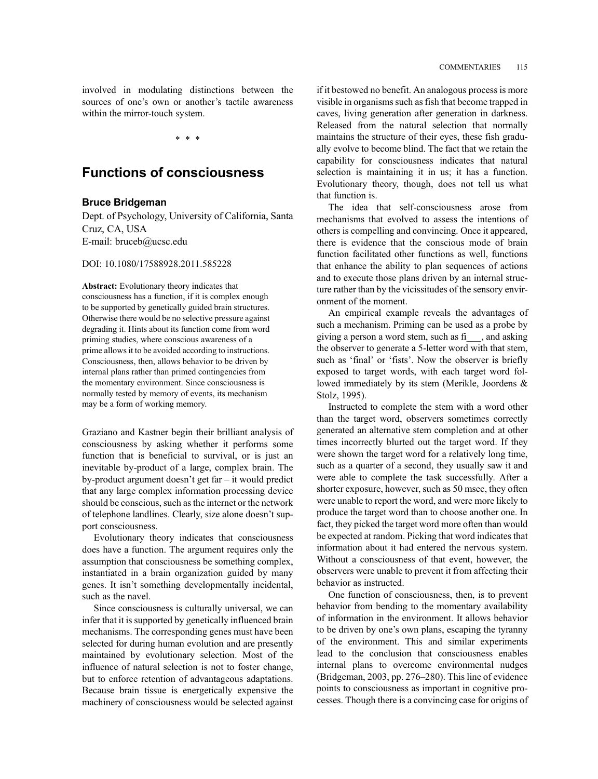involved in modulating distinctions between the sources of one's own or another's tactile awareness within the mirror-touch system.

\*\*\*

## Functions of consciousness

#### Bruce Bridgeman

Dept. of Psychology, University of California, Santa Cruz, CA, USA E-mail: [bruceb@ucsc.edu](mailto:bruceb@ucsc.edu)

DOI: 10.1080/17588928.2011.585228

Abstract: Evolutionary theory indicates that consciousness has a function, if it is complex enough to be supported by genetically guided brain structures. Otherwise there would be no selective pressure against degrading it. Hints about its function come from word priming studies, where conscious awareness of a prime allows it to be avoided according to instructions. Consciousness, then, allows behavior to be driven by internal plans rather than primed contingencies from the momentary environment. Since consciousness is normally tested by memory of events, its mechanism may be a form of working memory.

Graziano and Kastner begin their brilliant analysis of consciousness by asking whether it performs some function that is beneficial to survival, or is just an inevitable by-product of a large, complex brain. The by-product argument doesn't get far – it would predict that any large complex information processing device should be conscious, such as the internet or the network of telephone landlines. Clearly, size alone doesn't support consciousness.

Evolutionary theory indicates that consciousness does have a function. The argument requires only the assumption that consciousness be something complex, instantiated in a brain organization guided by many genes. It isn't something developmentally incidental, such as the navel.

Since consciousness is culturally universal, we can infer that it is supported by genetically influenced brain mechanisms. The corresponding genes must have been selected for during human evolution and are presently maintained by evolutionary selection. Most of the influence of natural selection is not to foster change, but to enforce retention of advantageous adaptations. Because brain tissue is energetically expensive the machinery of consciousness would be selected against if it bestowed no benefit. An analogous process is more visible in organisms such as fish that become trapped in caves, living generation after generation in darkness. Released from the natural selection that normally maintains the structure of their eyes, these fish gradually evolve to become blind. The fact that we retain the capability for consciousness indicates that natural selection is maintaining it in us; it has a function. Evolutionary theory, though, does not tell us what that function is.

The idea that self-consciousness arose from mechanisms that evolved to assess the intentions of others is compelling and convincing. Once it appeared, there is evidence that the conscious mode of brain function facilitated other functions as well, functions that enhance the ability to plan sequences of actions and to execute those plans driven by an internal structure rather than by the vicissitudes of the sensory environment of the moment.

An empirical example reveals the advantages of such a mechanism. Priming can be used as a probe by giving a person a word stem, such as fi\_\_\_, and asking the observer to generate a 5-letter word with that stem, such as 'final' or 'fists'. Now the observer is briefly exposed to target words, with each target word followed immediately by its stem (Merikle, Joordens & Stolz, 1995).

Instructed to complete the stem with a word other than the target word, observers sometimes correctly generated an alternative stem completion and at other times incorrectly blurted out the target word. If they were shown the target word for a relatively long time, such as a quarter of a second, they usually saw it and were able to complete the task successfully. After a shorter exposure, however, such as 50 msec, they often were unable to report the word, and were more likely to produce the target word than to choose another one. In fact, they picked the target word more often than would be expected at random. Picking that word indicates that information about it had entered the nervous system. Without a consciousness of that event, however, the observers were unable to prevent it from affecting their behavior as instructed.

One function of consciousness, then, is to prevent behavior from bending to the momentary availability of information in the environment. It allows behavior to be driven by one's own plans, escaping the tyranny of the environment. This and similar experiments lead to the conclusion that consciousness enables internal plans to overcome environmental nudges (Bridgeman, 2003, pp. 276–280). This line of evidence points to consciousness as important in cognitive processes. Though there is a convincing case for origins of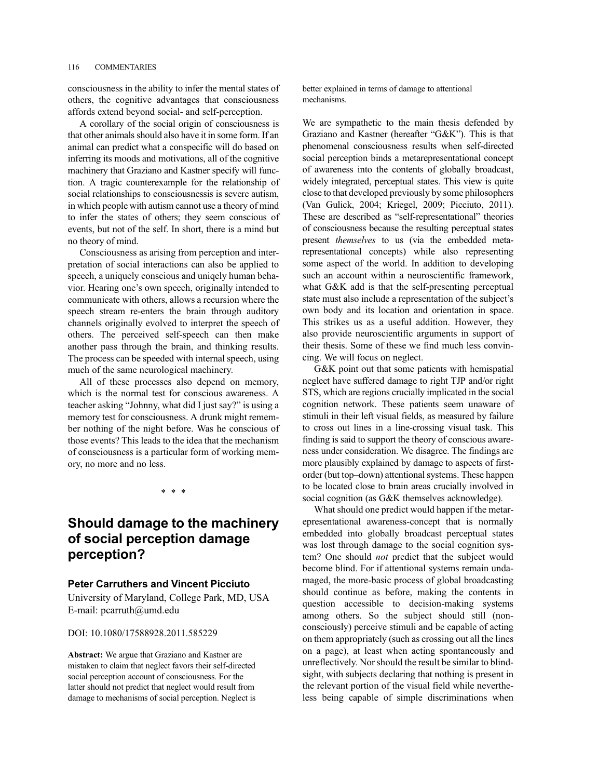consciousness in the ability to infer the mental states of others, the cognitive advantages that consciousness affords extend beyond social- and self-perception.

A corollary of the social origin of consciousness is that other animals should also have it in some form. If an animal can predict what a conspecific will do based on inferring its moods and motivations, all of the cognitive machinery that Graziano and Kastner specify will function. A tragic counterexample for the relationship of social relationships to consciousnessis is severe autism, in which people with autism cannot use a theory of mind to infer the states of others; they seem conscious of events, but not of the self. In short, there is a mind but no theory of mind.

Consciousness as arising from perception and interpretation of social interactions can also be applied to speech, a uniquely conscious and uniqely human behavior. Hearing one's own speech, originally intended to communicate with others, allows a recursion where the speech stream re-enters the brain through auditory channels originally evolved to interpret the speech of others. The perceived self-speech can then make another pass through the brain, and thinking results. The process can be speeded with internal speech, using much of the same neurological machinery.

All of these processes also depend on memory, which is the normal test for conscious awareness. A teacher asking "Johnny, what did I just say?" is using a memory test for consciousness. A drunk might remember nothing of the night before. Was he conscious of those events? This leads to the idea that the mechanism of consciousness is a particular form of working memory, no more and no less.

### \*\*\*

# Should damage to the machinery of social perception damage perception?

#### Peter Carruthers and Vincent Picciuto

University of Maryland, College Park, MD, USA E-mail: [pcarruth@umd.edu](mailto:pcarruth@umd.edu)

#### DOI: 10.1080/17588928.2011.585229

Abstract: We argue that Graziano and Kastner are mistaken to claim that neglect favors their self-directed social perception account of consciousness. For the latter should not predict that neglect would result from damage to mechanisms of social perception. Neglect is better explained in terms of damage to attentional mechanisms.

We are sympathetic to the main thesis defended by Graziano and Kastner (hereafter "G&K"). This is that phenomenal consciousness results when self-directed social perception binds a metarepresentational concept of awareness into the contents of globally broadcast, widely integrated, perceptual states. This view is quite close to that developed previously by some philosophers (Van Gulick, 2004; Kriegel, 2009; Picciuto, 2011). These are described as "self-representational" theories of consciousness because the resulting perceptual states present themselves to us (via the embedded metarepresentational concepts) while also representing some aspect of the world. In addition to developing such an account within a neuroscientific framework, what G&K add is that the self-presenting perceptual state must also include a representation of the subject's own body and its location and orientation in space. This strikes us as a useful addition. However, they also provide neuroscientific arguments in support of their thesis. Some of these we find much less convincing. We will focus on neglect.

G&K point out that some patients with hemispatial neglect have suffered damage to right TJP and/or right STS, which are regions crucially implicated in the social cognition network. These patients seem unaware of stimuli in their left visual fields, as measured by failure to cross out lines in a line-crossing visual task. This finding is said to support the theory of conscious awareness under consideration. We disagree. The findings are more plausibly explained by damage to aspects of firstorder (but top–down) attentional systems. These happen to be located close to brain areas crucially involved in social cognition (as G&K themselves acknowledge).

What should one predict would happen if the metarepresentational awareness-concept that is normally embedded into globally broadcast perceptual states was lost through damage to the social cognition system? One should *not* predict that the subject would become blind. For if attentional systems remain undamaged, the more-basic process of global broadcasting should continue as before, making the contents in question accessible to decision-making systems among others. So the subject should still (nonconsciously) perceive stimuli and be capable of acting on them appropriately (such as crossing out all the lines on a page), at least when acting spontaneously and unreflectively. Nor should the result be similar to blindsight, with subjects declaring that nothing is present in the relevant portion of the visual field while nevertheless being capable of simple discriminations when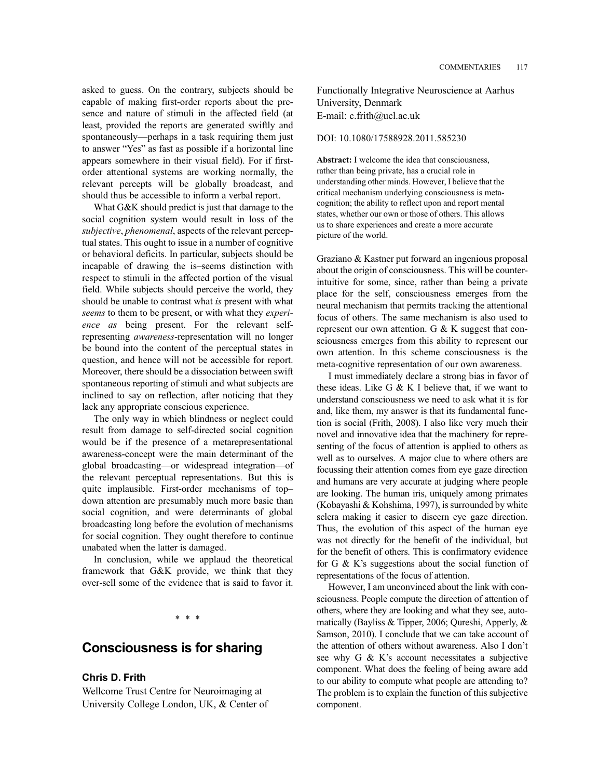asked to guess. On the contrary, subjects should be capable of making first-order reports about the presence and nature of stimuli in the affected field (at least, provided the reports are generated swiftly and spontaneously—perhaps in a task requiring them just to answer "Yes" as fast as possible if a horizontal line appears somewhere in their visual field). For if firstorder attentional systems are working normally, the relevant percepts will be globally broadcast, and should thus be accessible to inform a verbal report.

What G&K should predict is just that damage to the social cognition system would result in loss of the subjective, phenomenal, aspects of the relevant perceptual states. This ought to issue in a number of cognitive or behavioral deficits. In particular, subjects should be incapable of drawing the is–seems distinction with respect to stimuli in the affected portion of the visual field. While subjects should perceive the world, they should be unable to contrast what is present with what seems to them to be present, or with what they experience as being present. For the relevant selfrepresenting awareness-representation will no longer be bound into the content of the perceptual states in question, and hence will not be accessible for report. Moreover, there should be a dissociation between swift spontaneous reporting of stimuli and what subjects are inclined to say on reflection, after noticing that they lack any appropriate conscious experience.

The only way in which blindness or neglect could result from damage to self-directed social cognition would be if the presence of a metarepresentational awareness-concept were the main determinant of the global broadcasting—or widespread integration—of the relevant perceptual representations. But this is quite implausible. First-order mechanisms of top– down attention are presumably much more basic than social cognition, and were determinants of global broadcasting long before the evolution of mechanisms for social cognition. They ought therefore to continue unabated when the latter is damaged.

In conclusion, while we applaud the theoretical framework that G&K provide, we think that they over-sell some of the evidence that is said to favor it.

\*\*\*

### Consciousness is for sharing

#### Chris D. Frith

Wellcome Trust Centre for Neuroimaging at University College London, UK, & Center of

Functionally Integrative Neuroscience at Aarhus University, Denmark E-mail: c.[frith@ucl.ac.uk](mailto:frith@ucl.ac.uk)

DOI: 10.1080/17588928.2011.585230

Abstract: I welcome the idea that consciousness, rather than being private, has a crucial role in understanding other minds. However, I believe that the critical mechanism underlying consciousness is metacognition; the ability to reflect upon and report mental states, whether our own or those of others. This allows us to share experiences and create a more accurate picture of the world.

Graziano & Kastner put forward an ingenious proposal about the origin of consciousness. This will be counterintuitive for some, since, rather than being a private place for the self, consciousness emerges from the neural mechanism that permits tracking the attentional focus of others. The same mechanism is also used to represent our own attention. G  $\&$  K suggest that consciousness emerges from this ability to represent our own attention. In this scheme consciousness is the meta-cognitive representation of our own awareness.

I must immediately declare a strong bias in favor of these ideas. Like G  $&$  K I believe that, if we want to understand consciousness we need to ask what it is for and, like them, my answer is that its fundamental function is social (Frith, 2008). I also like very much their novel and innovative idea that the machinery for representing of the focus of attention is applied to others as well as to ourselves. A major clue to where others are focussing their attention comes from eye gaze direction and humans are very accurate at judging where people are looking. The human iris, uniquely among primates (Kobayashi & Kohshima, 1997), is surrounded by white sclera making it easier to discern eye gaze direction. Thus, the evolution of this aspect of the human eye was not directly for the benefit of the individual, but for the benefit of others. This is confirmatory evidence for G  $\&$  K's suggestions about the social function of representations of the focus of attention.

However, I am unconvinced about the link with consciousness. People compute the direction of attention of others, where they are looking and what they see, automatically (Bayliss & Tipper, 2006; Qureshi, Apperly, & Samson, 2010). I conclude that we can take account of the attention of others without awareness. Also I don't see why G & K's account necessitates a subjective component. What does the feeling of being aware add to our ability to compute what people are attending to? The problem is to explain the function of this subjective component.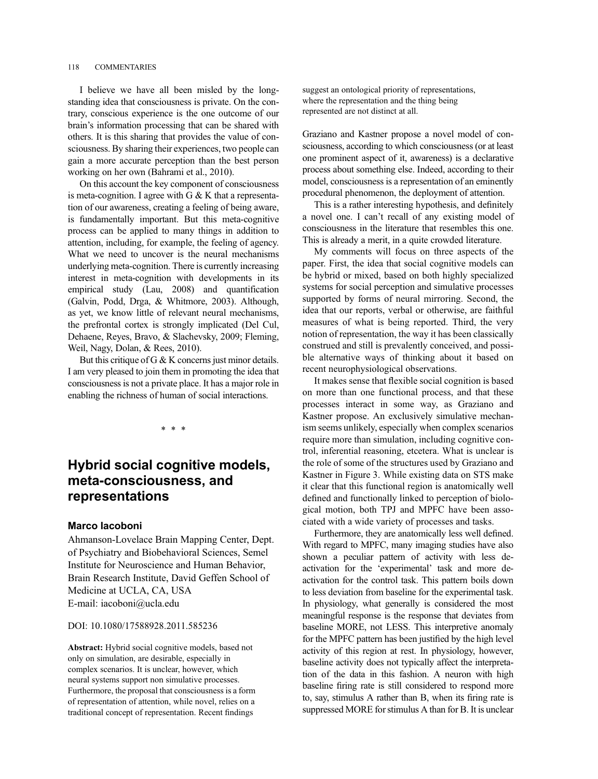I believe we have all been misled by the longstanding idea that consciousness is private. On the contrary, conscious experience is the one outcome of our brain's information processing that can be shared with others. It is this sharing that provides the value of consciousness. By sharing their experiences, two people can gain a more accurate perception than the best person working on her own (Bahrami et al., 2010).

On this account the key component of consciousness is meta-cognition. I agree with  $G \& K$  that a representation of our awareness, creating a feeling of being aware, is fundamentally important. But this meta-cognitive process can be applied to many things in addition to attention, including, for example, the feeling of agency. What we need to uncover is the neural mechanisms underlying meta-cognition. There is currently increasing interest in meta-cognition with developments in its empirical study (Lau, 2008) and quantification (Galvin, Podd, Drga, & Whitmore, 2003). Although, as yet, we know little of relevant neural mechanisms, the prefrontal cortex is strongly implicated (Del Cul, Dehaene, Reyes, Bravo, & Slachevsky, 2009; Fleming, Weil, Nagy, Dolan, & Rees, 2010).

But this critique of G  $& K$  concerns just minor details. I am very pleased to join them in promoting the idea that consciousness is not a private place. It has a major role in enabling the richness of human of social interactions.

\*\*\*

# Hybrid social cognitive models, meta-consciousness, and representations

### Marco Iacoboni

Ahmanson-Lovelace Brain Mapping Center, Dept. of Psychiatry and Biobehavioral Sciences, Semel Institute for Neuroscience and Human Behavior, Brain Research Institute, David Geffen School of Medicine at UCLA, CA, USA E-mail: [iacoboni@ucla.edu](mailto:iacoboni@ucla.edu)

#### DOI: 10.1080/17588928.2011.585236

Abstract: Hybrid social cognitive models, based not only on simulation, are desirable, especially in complex scenarios. It is unclear, however, which neural systems support non simulative processes. Furthermore, the proposal that consciousness is a form of representation of attention, while novel, relies on a traditional concept of representation. Recent findings

suggest an ontological priority of representations, where the representation and the thing being represented are not distinct at all.

Graziano and Kastner propose a novel model of consciousness, according to which consciousness (or at least one prominent aspect of it, awareness) is a declarative process about something else. Indeed, according to their model, consciousness is a representation of an eminently procedural phenomenon, the deployment of attention.

This is a rather interesting hypothesis, and definitely a novel one. I can't recall of any existing model of consciousness in the literature that resembles this one. This is already a merit, in a quite crowded literature.

My comments will focus on three aspects of the paper. First, the idea that social cognitive models can be hybrid or mixed, based on both highly specialized systems for social perception and simulative processes supported by forms of neural mirroring. Second, the idea that our reports, verbal or otherwise, are faithful measures of what is being reported. Third, the very notion of representation, the way it has been classically construed and still is prevalently conceived, and possible alternative ways of thinking about it based on recent neurophysiological observations.

It makes sense that flexible social cognition is based on more than one functional process, and that these processes interact in some way, as Graziano and Kastner propose. An exclusively simulative mechanism seems unlikely, especially when complex scenarios require more than simulation, including cognitive control, inferential reasoning, etcetera. What is unclear is the role of some of the structures used by Graziano and Kastner in Figure 3. While existing data on STS make it clear that this functional region is anatomically well defined and functionally linked to perception of biological motion, both TPJ and MPFC have been associated with a wide variety of processes and tasks.

Furthermore, they are anatomically less well defined. With regard to MPFC, many imaging studies have also shown a peculiar pattern of activity with less deactivation for the 'experimental' task and more deactivation for the control task. This pattern boils down to less deviation from baseline for the experimental task. In physiology, what generally is considered the most meaningful response is the response that deviates from baseline MORE, not LESS. This interpretive anomaly for the MPFC pattern has been justified by the high level activity of this region at rest. In physiology, however, baseline activity does not typically affect the interpretation of the data in this fashion. A neuron with high baseline firing rate is still considered to respond more to, say, stimulus A rather than B, when its firing rate is suppressed MORE for stimulus A than for B. It is unclear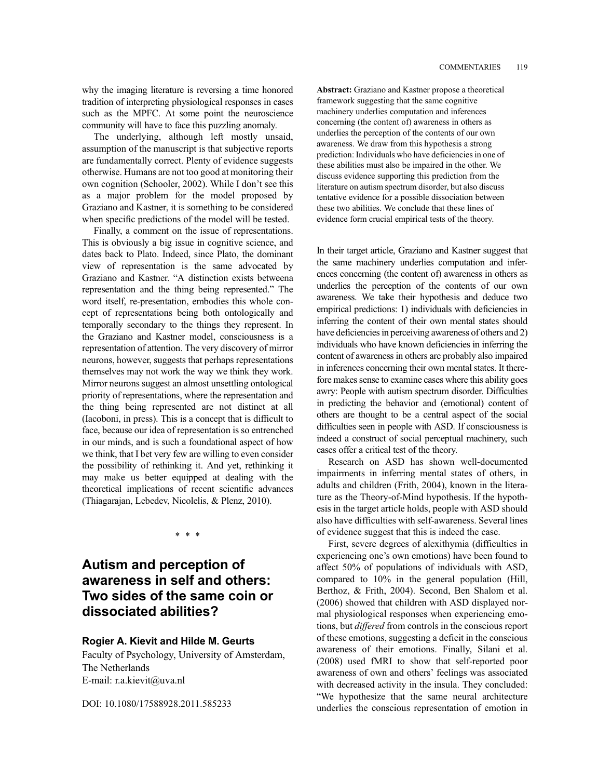why the imaging literature is reversing a time honored tradition of interpreting physiological responses in cases such as the MPFC. At some point the neuroscience community will have to face this puzzling anomaly.

The underlying, although left mostly unsaid, assumption of the manuscript is that subjective reports are fundamentally correct. Plenty of evidence suggests otherwise. Humans are not too good at monitoring their own cognition (Schooler, 2002). While I don't see this as a major problem for the model proposed by Graziano and Kastner, it is something to be considered when specific predictions of the model will be tested.

Finally, a comment on the issue of representations. This is obviously a big issue in cognitive science, and dates back to Plato. Indeed, since Plato, the dominant view of representation is the same advocated by Graziano and Kastner. "A distinction exists betweena representation and the thing being represented." The word itself, re-presentation, embodies this whole concept of representations being both ontologically and temporally secondary to the things they represent. In the Graziano and Kastner model, consciousness is a representation of attention. The very discovery of mirror neurons, however, suggests that perhaps representations themselves may not work the way we think they work. Mirror neurons suggest an almost unsettling ontological priority of representations, where the representation and the thing being represented are not distinct at all (Iacoboni, in press). This is a concept that is difficult to face, because our idea of representation is so entrenched in our minds, and is such a foundational aspect of how we think, that I bet very few are willing to even consider the possibility of rethinking it. And yet, rethinking it may make us better equipped at dealing with the theoretical implications of recent scientific advances (Thiagarajan, Lebedev, Nicolelis, & Plenz, 2010).

\*\*\*

# Autism and perception of awareness in self and others: Two sides of the same coin or dissociated abilities?

### Rogier A. Kievit and Hilde M. Geurts

Faculty of Psychology, University of Amsterdam, The Netherlands E-mail: r.a.[kievit@uva.nl](mailto:kievit@uva.nl)

DOI: 10.1080/17588928.2011.585233

Abstract: Graziano and Kastner propose a theoretical framework suggesting that the same cognitive machinery underlies computation and inferences concerning (the content of) awareness in others as underlies the perception of the contents of our own awareness. We draw from this hypothesis a strong prediction: Individuals who have deficiencies in one of these abilities must also be impaired in the other. We discuss evidence supporting this prediction from the literature on autism spectrum disorder, but also discuss tentative evidence for a possible dissociation between these two abilities. We conclude that these lines of evidence form crucial empirical tests of the theory.

In their target article, Graziano and Kastner suggest that the same machinery underlies computation and inferences concerning (the content of) awareness in others as underlies the perception of the contents of our own awareness. We take their hypothesis and deduce two empirical predictions: 1) individuals with deficiencies in inferring the content of their own mental states should have deficiencies in perceiving awareness of others and 2) individuals who have known deficiencies in inferring the content of awareness in others are probably also impaired in inferences concerning their own mental states. It therefore makes sense to examine cases where this ability goes awry: People with autism spectrum disorder. Difficulties in predicting the behavior and (emotional) content of others are thought to be a central aspect of the social difficulties seen in people with ASD. If consciousness is indeed a construct of social perceptual machinery, such cases offer a critical test of the theory.

Research on ASD has shown well-documented impairments in inferring mental states of others, in adults and children (Frith, 2004), known in the literature as the Theory-of-Mind hypothesis. If the hypothesis in the target article holds, people with ASD should also have difficulties with self-awareness. Several lines of evidence suggest that this is indeed the case.

First, severe degrees of alexithymia (difficulties in experiencing one's own emotions) have been found to affect 50% of populations of individuals with ASD, compared to 10% in the general population (Hill, Berthoz, & Frith, 2004). Second, Ben Shalom et al. (2006) showed that children with ASD displayed normal physiological responses when experiencing emotions, but differed from controls in the conscious report of these emotions, suggesting a deficit in the conscious awareness of their emotions. Finally, Silani et al. (2008) used fMRI to show that self-reported poor awareness of own and others' feelings was associated with decreased activity in the insula. They concluded: "We hypothesize that the same neural architecture underlies the conscious representation of emotion in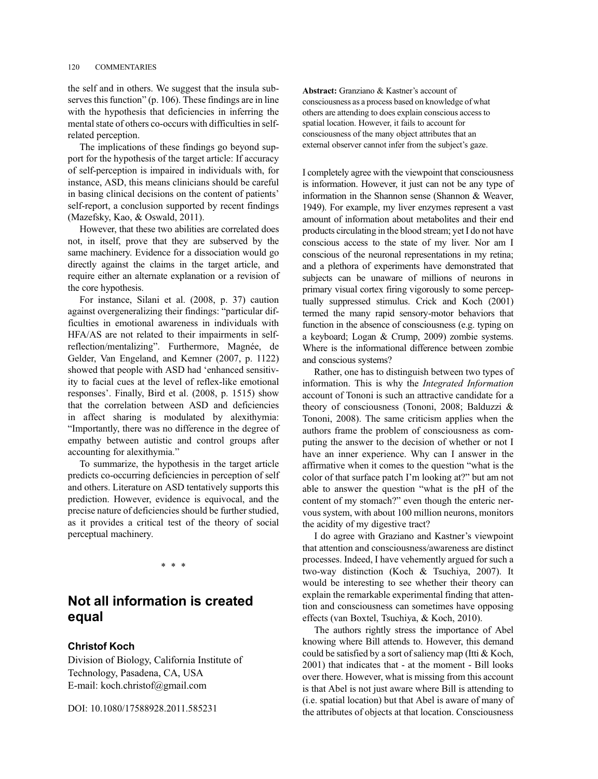the self and in others. We suggest that the insula subserves this function" (p. 106). These findings are in line with the hypothesis that deficiencies in inferring the mental state of others co-occurs with difficulties in selfrelated perception.

The implications of these findings go beyond support for the hypothesis of the target article: If accuracy of self-perception is impaired in individuals with, for instance, ASD, this means clinicians should be careful in basing clinical decisions on the content of patients' self-report, a conclusion supported by recent findings (Mazefsky, Kao, & Oswald, 2011).

However, that these two abilities are correlated does not, in itself, prove that they are subserved by the same machinery. Evidence for a dissociation would go directly against the claims in the target article, and require either an alternate explanation or a revision of the core hypothesis.

For instance, Silani et al. (2008, p. 37) caution against overgeneralizing their findings: "particular difficulties in emotional awareness in individuals with HFA/AS are not related to their impairments in selfreflection/mentalizing". Furthermore, Magnée, de Gelder, Van Engeland, and Kemner (2007, p. 1122) showed that people with ASD had 'enhanced sensitivity to facial cues at the level of reflex-like emotional responses'. Finally, Bird et al. (2008, p. 1515) show that the correlation between ASD and deficiencies in affect sharing is modulated by alexithymia: "Importantly, there was no difference in the degree of empathy between autistic and control groups after accounting for alexithymia."

To summarize, the hypothesis in the target article predicts co-occurring deficiencies in perception of self and others. Literature on ASD tentatively supports this prediction. However, evidence is equivocal, and the precise nature of deficiencies should be further studied, as it provides a critical test of the theory of social perceptual machinery.

\*\*\*

# Not all information is created equal

### Christof Koch

Division of Biology, California Institute of Technology, Pasadena, CA, USA E-mail: koch.[christof@gmail.com](mailto:christof@gmail.com)

DOI: 10.1080/17588928.2011.585231

Abstract: Granziano & Kastner's account of consciousness as a process based on knowledge of what others are attending to does explain conscious access to spatial location. However, it fails to account for consciousness of the many object attributes that an external observer cannot infer from the subject's gaze.

I completely agree with the viewpoint that consciousness is information. However, it just can not be any type of information in the Shannon sense (Shannon & Weaver, 1949). For example, my liver enzymes represent a vast amount of information about metabolites and their end products circulating in the blood stream; yet I do not have conscious access to the state of my liver. Nor am I conscious of the neuronal representations in my retina; and a plethora of experiments have demonstrated that subjects can be unaware of millions of neurons in primary visual cortex firing vigorously to some perceptually suppressed stimulus. Crick and Koch (2001) termed the many rapid sensory-motor behaviors that function in the absence of consciousness (e.g. typing on a keyboard; Logan & Crump, 2009) zombie systems. Where is the informational difference between zombie and conscious systems?

Rather, one has to distinguish between two types of information. This is why the Integrated Information account of Tononi is such an attractive candidate for a theory of consciousness (Tononi, 2008; Balduzzi & Tononi, 2008). The same criticism applies when the authors frame the problem of consciousness as computing the answer to the decision of whether or not I have an inner experience. Why can I answer in the affirmative when it comes to the question "what is the color of that surface patch I'm looking at?" but am not able to answer the question "what is the pH of the content of my stomach?" even though the enteric nervous system, with about 100 million neurons, monitors the acidity of my digestive tract?

I do agree with Graziano and Kastner's viewpoint that attention and consciousness/awareness are distinct processes. Indeed, I have vehemently argued for such a two-way distinction (Koch & Tsuchiya, 2007). It would be interesting to see whether their theory can explain the remarkable experimental finding that attention and consciousness can sometimes have opposing effects (van Boxtel, Tsuchiya, & Koch, 2010).

The authors rightly stress the importance of Abel knowing where Bill attends to. However, this demand could be satisfied by a sort of saliency map (Itti & Koch, 2001) that indicates that - at the moment - Bill looks over there. However, what is missing from this account is that Abel is not just aware where Bill is attending to (i.e. spatial location) but that Abel is aware of many of the attributes of objects at that location. Consciousness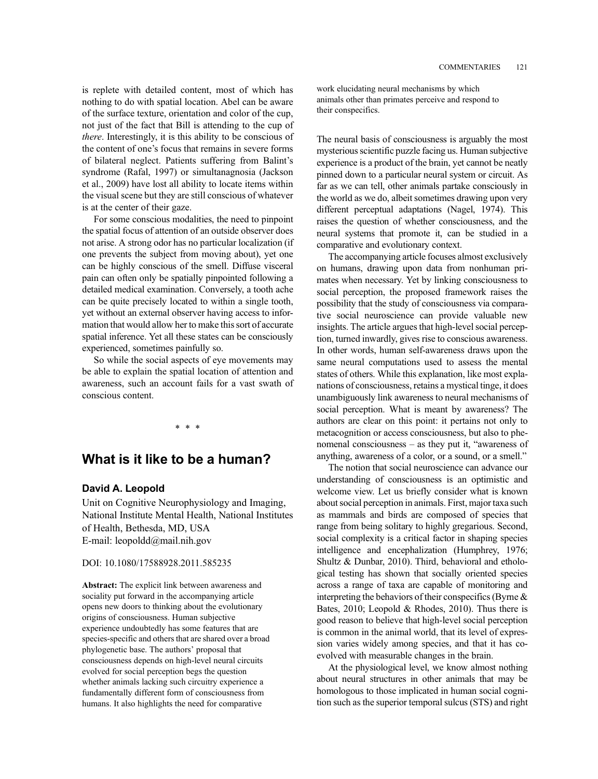is replete with detailed content, most of which has nothing to do with spatial location. Abel can be aware of the surface texture, orientation and color of the cup, not just of the fact that Bill is attending to the cup of there. Interestingly, it is this ability to be conscious of the content of one's focus that remains in severe forms of bilateral neglect. Patients suffering from Balint's syndrome (Rafal, 1997) or simultanagnosia (Jackson et al., 2009) have lost all ability to locate items within the visual scene but they are still conscious of whatever is at the center of their gaze.

For some conscious modalities, the need to pinpoint the spatial focus of attention of an outside observer does not arise. A strong odor has no particular localization (if one prevents the subject from moving about), yet one can be highly conscious of the smell. Diffuse visceral pain can often only be spatially pinpointed following a detailed medical examination. Conversely, a tooth ache can be quite precisely located to within a single tooth, yet without an external observer having access to information that would allow her to make this sort of accurate spatial inference. Yet all these states can be consciously experienced, sometimes painfully so.

So while the social aspects of eye movements may be able to explain the spatial location of attention and awareness, such an account fails for a vast swath of conscious content.

\*\*\*

## What is it like to be a human?

### David A. Leopold

Unit on Cognitive Neurophysiology and Imaging, National Institute Mental Health, National Institutes of Health, Bethesda, MD, USA E-mail: [leopoldd@mail.nih.gov](mailto:leopoldd@mail.nih.gov)

#### DOI: 10.1080/17588928.2011.585235

Abstract: The explicit link between awareness and sociality put forward in the accompanying article opens new doors to thinking about the evolutionary origins of consciousness. Human subjective experience undoubtedly has some features that are species-specific and others that are shared over a broad phylogenetic base. The authors' proposal that consciousness depends on high-level neural circuits evolved for social perception begs the question whether animals lacking such circuitry experience a fundamentally different form of consciousness from humans. It also highlights the need for comparative

work elucidating neural mechanisms by which animals other than primates perceive and respond to their conspecifics.

The neural basis of consciousness is arguably the most mysterious scientific puzzle facing us. Human subjective experience is a product of the brain, yet cannot be neatly pinned down to a particular neural system or circuit. As far as we can tell, other animals partake consciously in the world as we do, albeit sometimes drawing upon very different perceptual adaptations (Nagel, 1974). This raises the question of whether consciousness, and the neural systems that promote it, can be studied in a comparative and evolutionary context.

The accompanying article focuses almost exclusively on humans, drawing upon data from nonhuman primates when necessary. Yet by linking consciousness to social perception, the proposed framework raises the possibility that the study of consciousness via comparative social neuroscience can provide valuable new insights. The article argues that high-level social perception, turned inwardly, gives rise to conscious awareness. In other words, human self-awareness draws upon the same neural computations used to assess the mental states of others. While this explanation, like most explanations of consciousness, retains a mystical tinge, it does unambiguously link awareness to neural mechanisms of social perception. What is meant by awareness? The authors are clear on this point: it pertains not only to metacognition or access consciousness, but also to phenomenal consciousness – as they put it, "awareness of anything, awareness of a color, or a sound, or a smell."

The notion that social neuroscience can advance our understanding of consciousness is an optimistic and welcome view. Let us briefly consider what is known about social perception in animals. First, major taxa such as mammals and birds are composed of species that range from being solitary to highly gregarious. Second, social complexity is a critical factor in shaping species intelligence and encephalization (Humphrey, 1976; Shultz & Dunbar, 2010). Third, behavioral and ethological testing has shown that socially oriented species across a range of taxa are capable of monitoring and interpreting the behaviors of their conspecifics (Byrne & Bates, 2010; Leopold & Rhodes, 2010). Thus there is good reason to believe that high-level social perception is common in the animal world, that its level of expression varies widely among species, and that it has coevolved with measurable changes in the brain.

At the physiological level, we know almost nothing about neural structures in other animals that may be homologous to those implicated in human social cognition such as the superior temporal sulcus (STS) and right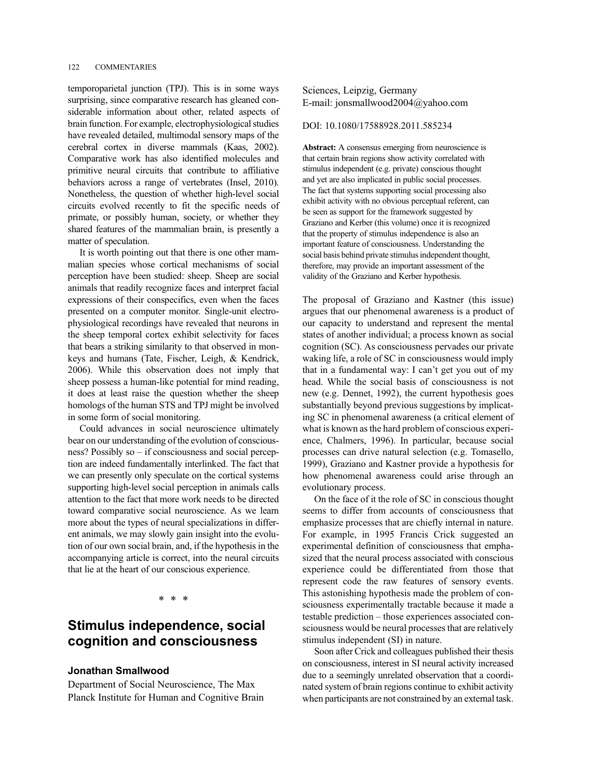temporoparietal junction (TPJ). This is in some ways surprising, since comparative research has gleaned considerable information about other, related aspects of brain function. For example, electrophysiological studies have revealed detailed, multimodal sensory maps of the cerebral cortex in diverse mammals (Kaas, 2002). Comparative work has also identified molecules and primitive neural circuits that contribute to affiliative behaviors across a range of vertebrates (Insel, 2010). Nonetheless, the question of whether high-level social circuits evolved recently to fit the specific needs of primate, or possibly human, society, or whether they shared features of the mammalian brain, is presently a matter of speculation.

It is worth pointing out that there is one other mammalian species whose cortical mechanisms of social perception have been studied: sheep. Sheep are social animals that readily recognize faces and interpret facial expressions of their conspecifics, even when the faces presented on a computer monitor. Single-unit electrophysiological recordings have revealed that neurons in the sheep temporal cortex exhibit selectivity for faces that bears a striking similarity to that observed in monkeys and humans (Tate, Fischer, Leigh, & Kendrick, 2006). While this observation does not imply that sheep possess a human-like potential for mind reading, it does at least raise the question whether the sheep homologs of the human STS and TPJ might be involved in some form of social monitoring.

Could advances in social neuroscience ultimately bear on our understanding of the evolution of consciousness? Possibly so – if consciousness and social perception are indeed fundamentally interlinked. The fact that we can presently only speculate on the cortical systems supporting high-level social perception in animals calls attention to the fact that more work needs to be directed toward comparative social neuroscience. As we learn more about the types of neural specializations in different animals, we may slowly gain insight into the evolution of our own social brain, and, if the hypothesis in the accompanying article is correct, into the neural circuits that lie at the heart of our conscious experience.

\*\*\*

# Stimulus independence, social cognition and consciousness

### Jonathan Smallwood

Department of Social Neuroscience, The Max Planck Institute for Human and Cognitive Brain

Sciences, Leipzig, Germany E-mail: [jonsmallwood2004@yahoo.com](mailto:jonsmallwood2004@yahoo.com)

#### DOI: 10.1080/17588928.2011.585234

Abstract: A consensus emerging from neuroscience is that certain brain regions show activity correlated with stimulus independent (e.g. private) conscious thought and yet are also implicated in public social processes. The fact that systems supporting social processing also exhibit activity with no obvious perceptual referent, can be seen as support for the framework suggested by Graziano and Kerber (this volume) once it is recognized that the property of stimulus independence is also an important feature of consciousness. Understanding the social basis behind private stimulus independent thought, therefore, may provide an important assessment of the validity of the Graziano and Kerber hypothesis.

The proposal of Graziano and Kastner (this issue) argues that our phenomenal awareness is a product of our capacity to understand and represent the mental states of another individual; a process known as social cognition (SC). As consciousness pervades our private waking life, a role of SC in consciousness would imply that in a fundamental way: I can't get you out of my head. While the social basis of consciousness is not new (e.g. Dennet, 1992), the current hypothesis goes substantially beyond previous suggestions by implicating SC in phenomenal awareness (a critical element of what is known as the hard problem of conscious experience, Chalmers, 1996). In particular, because social processes can drive natural selection (e.g. Tomasello, 1999), Graziano and Kastner provide a hypothesis for how phenomenal awareness could arise through an evolutionary process.

On the face of it the role of SC in conscious thought seems to differ from accounts of consciousness that emphasize processes that are chiefly internal in nature. For example, in 1995 Francis Crick suggested an experimental definition of consciousness that emphasized that the neural process associated with conscious experience could be differentiated from those that represent code the raw features of sensory events. This astonishing hypothesis made the problem of consciousness experimentally tractable because it made a testable prediction – those experiences associated consciousness would be neural processes that are relatively stimulus independent (SI) in nature.

Soon after Crick and colleagues published their thesis on consciousness, interest in SI neural activity increased due to a seemingly unrelated observation that a coordinated system of brain regions continue to exhibit activity when participants are not constrained by an external task.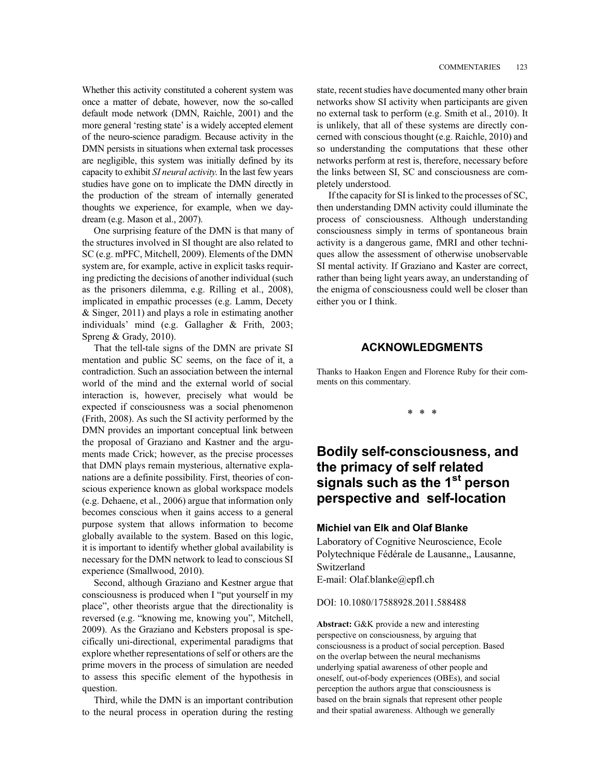Whether this activity constituted a coherent system was once a matter of debate, however, now the so-called default mode network (DMN, Raichle, 2001) and the more general 'resting state' is a widely accepted element of the neuro-science paradigm. Because activity in the DMN persists in situations when external task processes are negligible, this system was initially defined by its capacity to exhibit SI neural activity. In the last few years studies have gone on to implicate the DMN directly in the production of the stream of internally generated thoughts we experience, for example, when we daydream (e.g. Mason et al., 2007).

One surprising feature of the DMN is that many of the structures involved in SI thought are also related to SC (e.g. mPFC, Mitchell, 2009). Elements of the DMN system are, for example, active in explicit tasks requiring predicting the decisions of another individual (such as the prisoners dilemma, e.g. Rilling et al., 2008), implicated in empathic processes (e.g. Lamm, Decety & Singer, 2011) and plays a role in estimating another individuals' mind (e.g. Gallagher & Frith, 2003; Spreng & Grady, 2010).

That the tell-tale signs of the DMN are private SI mentation and public SC seems, on the face of it, a contradiction. Such an association between the internal world of the mind and the external world of social interaction is, however, precisely what would be expected if consciousness was a social phenomenon (Frith, 2008). As such the SI activity performed by the DMN provides an important conceptual link between the proposal of Graziano and Kastner and the arguments made Crick; however, as the precise processes that DMN plays remain mysterious, alternative explanations are a definite possibility. First, theories of conscious experience known as global workspace models (e.g. Dehaene, et al., 2006) argue that information only becomes conscious when it gains access to a general purpose system that allows information to become globally available to the system. Based on this logic, it is important to identify whether global availability is necessary for the DMN network to lead to conscious SI experience (Smallwood, 2010).

Second, although Graziano and Kestner argue that consciousness is produced when I "put yourself in my place", other theorists argue that the directionality is reversed (e.g. "knowing me, knowing you", Mitchell, 2009). As the Graziano and Kebsters proposal is specifically uni-directional, experimental paradigms that explore whether representations of self or others are the prime movers in the process of simulation are needed to assess this specific element of the hypothesis in question.

Third, while the DMN is an important contribution to the neural process in operation during the resting

state, recent studies have documented many other brain networks show SI activity when participants are given no external task to perform (e.g. Smith et al., 2010). It is unlikely, that all of these systems are directly concerned with conscious thought (e.g. Raichle, 2010) and so understanding the computations that these other networks perform at rest is, therefore, necessary before the links between SI, SC and consciousness are completely understood.

If the capacity for SI is linked to the processes of SC, then understanding DMN activity could illuminate the process of consciousness. Although understanding consciousness simply in terms of spontaneous brain activity is a dangerous game, fMRI and other techniques allow the assessment of otherwise unobservable SI mental activity. If Graziano and Kaster are correct, rather than being light years away, an understanding of the enigma of consciousness could well be closer than either you or I think.

### ACKNOWLEDGMENTS

Thanks to Haakon Engen and Florence Ruby for their comments on this commentary.

\*\*\*

# Bodily self-consciousness, and the primacy of self related signals such as the 1<sup>st</sup> person perspective and self-location

### Michiel van Elk and Olaf Blanke

Laboratory of Cognitive Neuroscience, Ecole Polytechnique Fédérale de Lausanne,, Lausanne, Switzerland

E-mail: Olaf[.blanke@epfl.ch](mailto:blanke@epfl.ch)

#### DOI: 10.1080/17588928.2011.588488

Abstract: G&K provide a new and interesting perspective on consciousness, by arguing that consciousness is a product of social perception. Based on the overlap between the neural mechanisms underlying spatial awareness of other people and oneself, out-of-body experiences (OBEs), and social perception the authors argue that consciousness is based on the brain signals that represent other people and their spatial awareness. Although we generally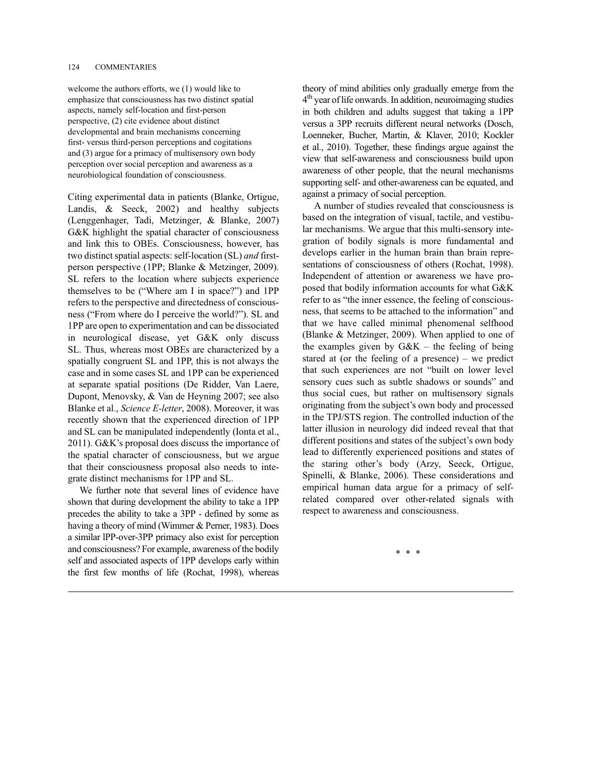welcome the authors efforts, we (1) would like to emphasize that consciousness has two distinct spatial aspects, namely self-location and first-person perspective, (2) cite evidence about distinct developmental and brain mechanisms concerning first- versus third-person perceptions and cogitations and (3) argue for a primacy of multisensory own body perception over social perception and awareness as a neurobiological foundation of consciousness.

Citing experimental data in patients (Blanke, Ortigue, Landis, & Seeck, 2002) and healthy subjects (Lenggenhager, Tadi, Metzinger, & Blanke, 2007) G&K highlight the spatial character of consciousness and link this to OBEs. Consciousness, however, has two distinct spatial aspects: self-location (SL) and firstperson perspective (1PP; Blanke & Metzinger, 2009). SL refers to the location where subjects experience themselves to be ("Where am I in space?") and 1PP refers to the perspective and directedness of consciousness ("From where do I perceive the world?"). SL and 1PP are open to experimentation and can be dissociated in neurological disease, yet G&K only discuss SL. Thus, whereas most OBEs are characterized by a spatially congruent SL and 1PP, this is not always the case and in some cases SL and 1PP can be experienced at separate spatial positions (De Ridder, Van Laere, Dupont, Menovsky, & Van de Heyning 2007; see also Blanke et al., Science E-letter, 2008). Moreover, it was recently shown that the experienced direction of 1PP and SL can be manipulated independently (Ionta et al., 2011). G&K's proposal does discuss the importance of the spatial character of consciousness, but we argue that their consciousness proposal also needs to integrate distinct mechanisms for 1PP and SL.

We further note that several lines of evidence have shown that during development the ability to take a 1PP precedes the ability to take a 3PP - defined by some as having a theory of mind (Wimmer & Perner, 1983). Does a similar lPP-over-3PP primacy also exist for perception and consciousness? For example, awareness of the bodily self and associated aspects of 1PP develops early within the first few months of life (Rochat, 1998), whereas

theory of mind abilities only gradually emerge from the  $4<sup>th</sup>$  year of life onwards. In addition, neuroimaging studies in both children and adults suggest that taking a 1PP versus a 3PP recruits different neural networks (Dosch, Loenneker, Bucher, Martin, & Klaver, 2010; Kockler et al., 2010). Together, these findings argue against the view that self-awareness and consciousness build upon awareness of other people, that the neural mechanisms supporting self- and other-awareness can be equated, and against a primacy of social perception.

A number of studies revealed that consciousness is based on the integration of visual, tactile, and vestibular mechanisms. We argue that this multi-sensory integration of bodily signals is more fundamental and develops earlier in the human brain than brain representations of consciousness of others (Rochat, 1998). Independent of attention or awareness we have proposed that bodily information accounts for what G&K refer to as "the inner essence, the feeling of consciousness, that seems to be attached to the information" and that we have called minimal phenomenal selfhood (Blanke & Metzinger, 2009). When applied to one of the examples given by  $G\&K$  – the feeling of being stared at (or the feeling of a presence) – we predict that such experiences are not "built on lower level sensory cues such as subtle shadows or sounds" and thus social cues, but rather on multisensory signals originating from the subject's own body and processed in the TPJ/STS region. The controlled induction of the latter illusion in neurology did indeed reveal that that different positions and states of the subject's own body lead to differently experienced positions and states of the staring other's body (Arzy, Seeck, Ortigue, Spinelli, & Blanke, 2006). These considerations and empirical human data argue for a primacy of selfrelated compared over other-related signals with respect to awareness and consciousness.

\*\*\*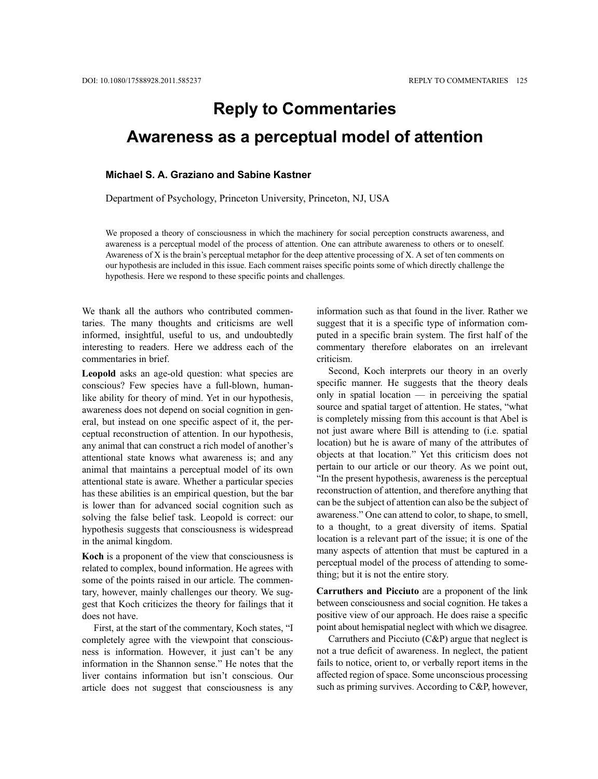# Reply to Commentaries Awareness as a perceptual model of attention

### Michael S. A. Graziano and Sabine Kastner

Department of Psychology, Princeton University, Princeton, NJ, USA

We proposed a theory of consciousness in which the machinery for social perception constructs awareness, and awareness is a perceptual model of the process of attention. One can attribute awareness to others or to oneself. Awareness of X is the brain's perceptual metaphor for the deep attentive processing of X. A set of ten comments on our hypothesis are included in this issue. Each comment raises specific points some of which directly challenge the hypothesis. Here we respond to these specific points and challenges.

We thank all the authors who contributed commentaries. The many thoughts and criticisms are well informed, insightful, useful to us, and undoubtedly interesting to readers. Here we address each of the commentaries in brief.

Leopold asks an age-old question: what species are conscious? Few species have a full-blown, humanlike ability for theory of mind. Yet in our hypothesis, awareness does not depend on social cognition in general, but instead on one specific aspect of it, the perceptual reconstruction of attention. In our hypothesis, any animal that can construct a rich model of another's attentional state knows what awareness is; and any animal that maintains a perceptual model of its own attentional state is aware. Whether a particular species has these abilities is an empirical question, but the bar is lower than for advanced social cognition such as solving the false belief task. Leopold is correct: our hypothesis suggests that consciousness is widespread in the animal kingdom.

Koch is a proponent of the view that consciousness is related to complex, bound information. He agrees with some of the points raised in our article. The commentary, however, mainly challenges our theory. We suggest that Koch criticizes the theory for failings that it does not have.

First, at the start of the commentary, Koch states, "I completely agree with the viewpoint that consciousness is information. However, it just can't be any information in the Shannon sense." He notes that the liver contains information but isn't conscious. Our article does not suggest that consciousness is any information such as that found in the liver. Rather we suggest that it is a specific type of information computed in a specific brain system. The first half of the commentary therefore elaborates on an irrelevant criticism.

Second, Koch interprets our theory in an overly specific manner. He suggests that the theory deals only in spatial location — in perceiving the spatial source and spatial target of attention. He states, "what is completely missing from this account is that Abel is not just aware where Bill is attending to (i.e. spatial location) but he is aware of many of the attributes of objects at that location." Yet this criticism does not pertain to our article or our theory. As we point out, "In the present hypothesis, awareness is the perceptual reconstruction of attention, and therefore anything that can be the subject of attention can also be the subject of awareness." One can attend to color, to shape, to smell, to a thought, to a great diversity of items. Spatial location is a relevant part of the issue; it is one of the many aspects of attention that must be captured in a perceptual model of the process of attending to something; but it is not the entire story.

Carruthers and Picciuto are a proponent of the link between consciousness and social cognition. He takes a positive view of our approach. He does raise a specific point about hemispatial neglect with which we disagree.

Carruthers and Picciuto (C&P) argue that neglect is not a true deficit of awareness. In neglect, the patient fails to notice, orient to, or verbally report items in the affected region of space. Some unconscious processing such as priming survives. According to C&P, however,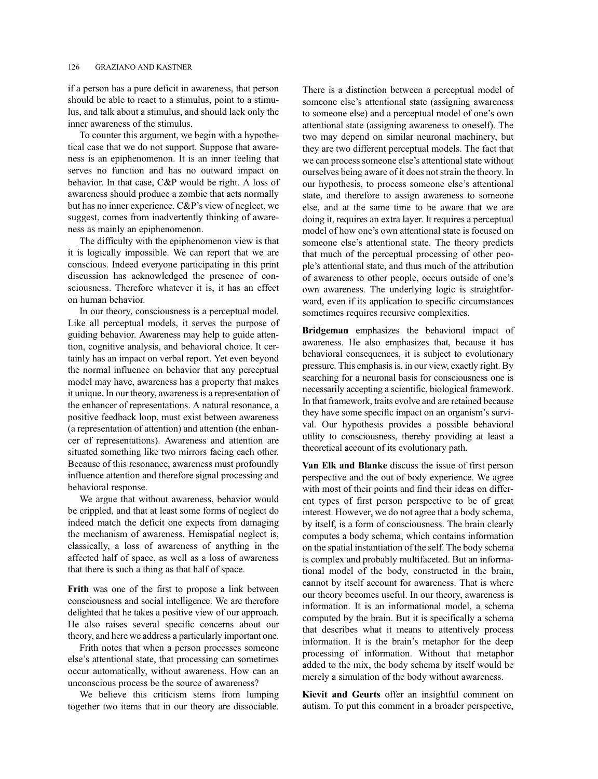if a person has a pure deficit in awareness, that person should be able to react to a stimulus, point to a stimulus, and talk about a stimulus, and should lack only the inner awareness of the stimulus.

To counter this argument, we begin with a hypothetical case that we do not support. Suppose that awareness is an epiphenomenon. It is an inner feeling that serves no function and has no outward impact on behavior. In that case, C&P would be right. A loss of awareness should produce a zombie that acts normally but has no inner experience. C&P's view of neglect, we suggest, comes from inadvertently thinking of awareness as mainly an epiphenomenon.

The difficulty with the epiphenomenon view is that it is logically impossible. We can report that we are conscious. Indeed everyone participating in this print discussion has acknowledged the presence of consciousness. Therefore whatever it is, it has an effect on human behavior.

In our theory, consciousness is a perceptual model. Like all perceptual models, it serves the purpose of guiding behavior. Awareness may help to guide attention, cognitive analysis, and behavioral choice. It certainly has an impact on verbal report. Yet even beyond the normal influence on behavior that any perceptual model may have, awareness has a property that makes it unique. In our theory, awareness is a representation of the enhancer of representations. A natural resonance, a positive feedback loop, must exist between awareness (a representation of attention) and attention (the enhancer of representations). Awareness and attention are situated something like two mirrors facing each other. Because of this resonance, awareness must profoundly influence attention and therefore signal processing and behavioral response.

We argue that without awareness, behavior would be crippled, and that at least some forms of neglect do indeed match the deficit one expects from damaging the mechanism of awareness. Hemispatial neglect is, classically, a loss of awareness of anything in the affected half of space, as well as a loss of awareness that there is such a thing as that half of space.

Frith was one of the first to propose a link between consciousness and social intelligence. We are therefore delighted that he takes a positive view of our approach. He also raises several specific concerns about our theory, and here we address a particularly important one.

Frith notes that when a person processes someone else's attentional state, that processing can sometimes occur automatically, without awareness. How can an unconscious process be the source of awareness?

We believe this criticism stems from lumping together two items that in our theory are dissociable. There is a distinction between a perceptual model of someone else's attentional state (assigning awareness to someone else) and a perceptual model of one's own attentional state (assigning awareness to oneself). The two may depend on similar neuronal machinery, but they are two different perceptual models. The fact that we can process someone else's attentional state without ourselves being aware of it does not strain the theory. In our hypothesis, to process someone else's attentional state, and therefore to assign awareness to someone else, and at the same time to be aware that we are doing it, requires an extra layer. It requires a perceptual model of how one's own attentional state is focused on someone else's attentional state. The theory predicts that much of the perceptual processing of other people's attentional state, and thus much of the attribution of awareness to other people, occurs outside of one's own awareness. The underlying logic is straightforward, even if its application to specific circumstances sometimes requires recursive complexities.

Bridgeman emphasizes the behavioral impact of awareness. He also emphasizes that, because it has behavioral consequences, it is subject to evolutionary pressure. This emphasis is, in our view, exactly right. By searching for a neuronal basis for consciousness one is necessarily accepting a scientific, biological framework. In that framework, traits evolve and are retained because they have some specific impact on an organism's survival. Our hypothesis provides a possible behavioral utility to consciousness, thereby providing at least a theoretical account of its evolutionary path.

Van Elk and Blanke discuss the issue of first person perspective and the out of body experience. We agree with most of their points and find their ideas on different types of first person perspective to be of great interest. However, we do not agree that a body schema, by itself, is a form of consciousness. The brain clearly computes a body schema, which contains information on the spatial instantiation of the self. The body schema is complex and probably multifaceted. But an informational model of the body, constructed in the brain, cannot by itself account for awareness. That is where our theory becomes useful. In our theory, awareness is information. It is an informational model, a schema computed by the brain. But it is specifically a schema that describes what it means to attentively process information. It is the brain's metaphor for the deep processing of information. Without that metaphor added to the mix, the body schema by itself would be merely a simulation of the body without awareness.

Kievit and Geurts offer an insightful comment on autism. To put this comment in a broader perspective,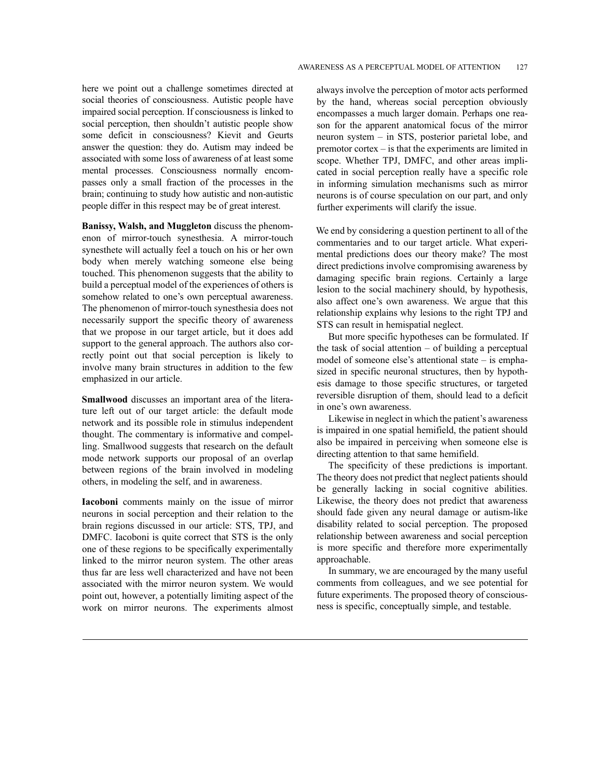here we point out a challenge sometimes directed at social theories of consciousness. Autistic people have impaired social perception. If consciousness is linked to social perception, then shouldn't autistic people show some deficit in consciousness? Kievit and Geurts answer the question: they do. Autism may indeed be associated with some loss of awareness of at least some mental processes. Consciousness normally encompasses only a small fraction of the processes in the brain; continuing to study how autistic and non-autistic people differ in this respect may be of great interest.

Banissy, Walsh, and Muggleton discuss the phenomenon of mirror-touch synesthesia. A mirror-touch synesthete will actually feel a touch on his or her own body when merely watching someone else being touched. This phenomenon suggests that the ability to build a perceptual model of the experiences of others is somehow related to one's own perceptual awareness. The phenomenon of mirror-touch synesthesia does not necessarily support the specific theory of awareness that we propose in our target article, but it does add support to the general approach. The authors also correctly point out that social perception is likely to involve many brain structures in addition to the few emphasized in our article.

Smallwood discusses an important area of the literature left out of our target article: the default mode network and its possible role in stimulus independent thought. The commentary is informative and compelling. Smallwood suggests that research on the default mode network supports our proposal of an overlap between regions of the brain involved in modeling others, in modeling the self, and in awareness.

Iacoboni comments mainly on the issue of mirror neurons in social perception and their relation to the brain regions discussed in our article: STS, TPJ, and DMFC. Iacoboni is quite correct that STS is the only one of these regions to be specifically experimentally linked to the mirror neuron system. The other areas thus far are less well characterized and have not been associated with the mirror neuron system. We would point out, however, a potentially limiting aspect of the work on mirror neurons. The experiments almost always involve the perception of motor acts performed by the hand, whereas social perception obviously encompasses a much larger domain. Perhaps one reason for the apparent anatomical focus of the mirror neuron system – in STS, posterior parietal lobe, and premotor cortex – is that the experiments are limited in scope. Whether TPJ, DMFC, and other areas implicated in social perception really have a specific role in informing simulation mechanisms such as mirror neurons is of course speculation on our part, and only further experiments will clarify the issue.

We end by considering a question pertinent to all of the commentaries and to our target article. What experimental predictions does our theory make? The most direct predictions involve compromising awareness by damaging specific brain regions. Certainly a large lesion to the social machinery should, by hypothesis, also affect one's own awareness. We argue that this relationship explains why lesions to the right TPJ and STS can result in hemispatial neglect.

But more specific hypotheses can be formulated. If the task of social attention  $-$  of building a perceptual model of someone else's attentional state – is emphasized in specific neuronal structures, then by hypothesis damage to those specific structures, or targeted reversible disruption of them, should lead to a deficit in one's own awareness.

Likewise in neglect in which the patient's awareness is impaired in one spatial hemifield, the patient should also be impaired in perceiving when someone else is directing attention to that same hemifield.

The specificity of these predictions is important. The theory does not predict that neglect patients should be generally lacking in social cognitive abilities. Likewise, the theory does not predict that awareness should fade given any neural damage or autism-like disability related to social perception. The proposed relationship between awareness and social perception is more specific and therefore more experimentally approachable.

In summary, we are encouraged by the many useful comments from colleagues, and we see potential for future experiments. The proposed theory of consciousness is specific, conceptually simple, and testable.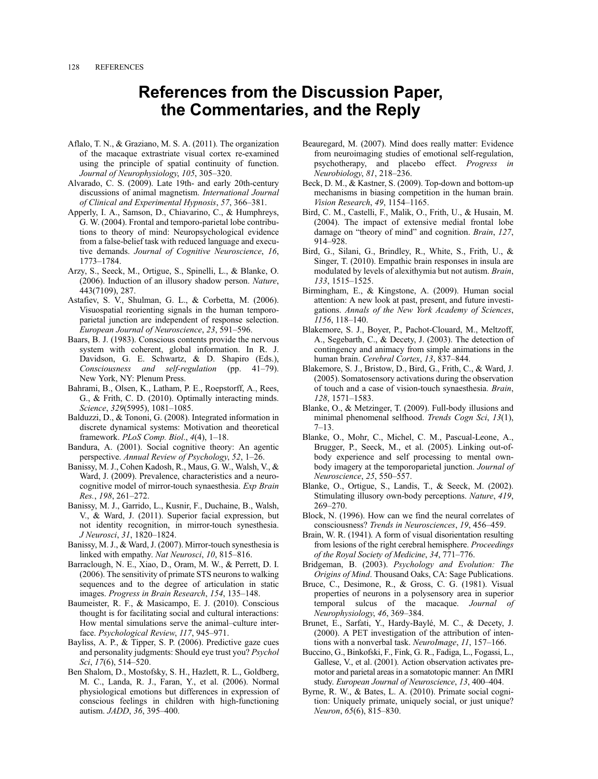#### 128 REFERENCES

# References from the Discussion Paper, the Commentaries, and the Reply

- Aflalo, T. N., & Graziano, M. S. A. (2011). The organization of the macaque extrastriate visual cortex re-examined using the principle of spatial continuity of function. Journal of Neurophysiology, 105, 305–320.
- Alvarado, C. S. (2009). Late 19th- and early 20th-century discussions of animal magnetism. International Journal of Clinical and Experimental Hypnosis, 57, 366–381.
- Apperly, I. A., Samson, D., Chiavarino, C., & Humphreys, G. W. (2004). Frontal and temporo-parietal lobe contributions to theory of mind: Neuropsychological evidence from a false-belief task with reduced language and executive demands. Journal of Cognitive Neuroscience, 16, 1773–1784.
- Arzy, S., Seeck, M., Ortigue, S., Spinelli, L., & Blanke, O. (2006). Induction of an illusory shadow person. Nature, 443(7109), 287.
- Astafiev, S. V., Shulman, G. L., & Corbetta, M. (2006). Visuospatial reorienting signals in the human temporoparietal junction are independent of response selection. European Journal of Neuroscience, 23, 591–596.
- Baars, B. J. (1983). Conscious contents provide the nervous system with coherent, global information. In R. J. Davidson, G. E. Schwartz, & D. Shapiro (Eds.), Consciousness and self-regulation (pp. 41–79). New York, NY: Plenum Press.
- Bahrami, B., Olsen, K., Latham, P. E., Roepstorff, A., Rees, G., & Frith, C. D. (2010). Optimally interacting minds. Science, 329(5995), 1081–1085.
- Balduzzi, D., & Tononi, G. (2008). Integrated information in discrete dynamical systems: Motivation and theoretical framework. PLoS Comp. Biol., 4(4), 1–18.
- Bandura, A. (2001). Social cognitive theory: An agentic perspective. Annual Review of Psychology, 52, 1–26.
- Banissy, M. J., Cohen Kadosh, R., Maus, G. W., Walsh, V., & Ward, J. (2009). Prevalence, characteristics and a neurocognitive model of mirror-touch synaesthesia. Exp Brain Res., 198, 261–272.
- Banissy, M. J., Garrido, L., Kusnir, F., Duchaine, B., Walsh, V., & Ward, J. (2011). Superior facial expression, but not identity recognition, in mirror-touch synesthesia. J Neurosci, 31, 1820–1824.
- Banissy, M. J., & Ward, J. (2007). Mirror-touch synesthesia is linked with empathy. Nat Neurosci, 10, 815–816.
- Barraclough, N. E., Xiao, D., Oram, M. W., & Perrett, D. I. (2006). The sensitivity of primate STS neurons to walking sequences and to the degree of articulation in static images. Progress in Brain Research, 154, 135–148.
- Baumeister, R. F., & Masicampo, E. J. (2010). Conscious thought is for facilitating social and cultural interactions: How mental simulations serve the animal–culture interface. Psychological Review, 117, 945–971.
- Bayliss, A. P., & Tipper, S. P. (2006). Predictive gaze cues and personality judgments: Should eye trust you? Psychol Sci, 17(6), 514–520.
- Ben Shalom, D., Mostofsky, S. H., Hazlett, R. L., Goldberg, M. C., Landa, R. J., Faran, Y., et al. (2006). Normal physiological emotions but differences in expression of conscious feelings in children with high-functioning autism. JADD, 36, 395–400.
- Beauregard, M. (2007). Mind does really matter: Evidence from neuroimaging studies of emotional self-regulation, psychotherapy, and placebo effect. Progress in Neurobiology, 81, 218–236.
- Beck, D. M., & Kastner, S. (2009). Top-down and bottom-up mechanisms in biasing competition in the human brain. Vision Research, 49, 1154–1165.
- Bird, C. M., Castelli, F., Malik, O., Frith, U., & Husain, M. (2004). The impact of extensive medial frontal lobe damage on "theory of mind" and cognition. Brain, 127, 914–928.
- Bird, G., Silani, G., Brindley, R., White, S., Frith, U., & Singer, T. (2010). Empathic brain responses in insula are modulated by levels of alexithymia but not autism. Brain, 133, 1515–1525.
- Birmingham, E., & Kingstone, A. (2009). Human social attention: A new look at past, present, and future investigations. Annals of the New York Academy of Sciences, 1156, 118–140.
- Blakemore, S. J., Boyer, P., Pachot-Clouard, M., Meltzoff, A., Segebarth, C., & Decety, J. (2003). The detection of contingency and animacy from simple animations in the human brain. Cerebral Cortex, 13, 837–844.
- Blakemore, S. J., Bristow, D., Bird, G., Frith, C., & Ward, J. (2005). Somatosensory activations during the observation of touch and a case of vision-touch synaesthesia. Brain, 128, 1571–1583.
- Blanke, O., & Metzinger, T. (2009). Full-body illusions and minimal phenomenal selfhood. Trends Cogn Sci, 13(1), 7–13.
- Blanke, O., Mohr, C., Michel, C. M., Pascual-Leone, A., Brugger, P., Seeck, M., et al. (2005). Linking out-ofbody experience and self processing to mental ownbody imagery at the temporoparietal junction. Journal of Neuroscience, 25, 550–557.
- Blanke, O., Ortigue, S., Landis, T., & Seeck, M. (2002). Stimulating illusory own-body perceptions. Nature, 419, 269–270.
- Block, N. (1996). How can we find the neural correlates of consciousness? Trends in Neurosciences, 19, 456–459.
- Brain, W. R. (1941). A form of visual disorientation resulting from lesions of the right cerebral hemisphere. Proceedings of the Royal Society of Medicine, 34, 771–776.
- Bridgeman, B. (2003). Psychology and Evolution: The Origins of Mind. Thousand Oaks, CA: Sage Publications.
- Bruce, C., Desimone, R., & Gross, C. G. (1981). Visual properties of neurons in a polysensory area in superior temporal sulcus of the macaque. Journal of Neurophysiology, 46, 369–384.
- Brunet, E., Sarfati, Y., Hardy-Baylé, M. C., & Decety, J. (2000). A PET investigation of the attribution of intentions with a nonverbal task. NeuroImage, 11, 157–166.
- Buccino, G., Binkofski, F., Fink, G. R., Fadiga, L., Fogassi, L., Gallese, V., et al. (2001). Action observation activates premotor and parietal areas in a somatotopic manner: An fMRI study. European Journal of Neuroscience, 13, 400–404.
- Byrne, R. W., & Bates, L. A. (2010). Primate social cognition: Uniquely primate, uniquely social, or just unique? Neuron, 65(6), 815–830.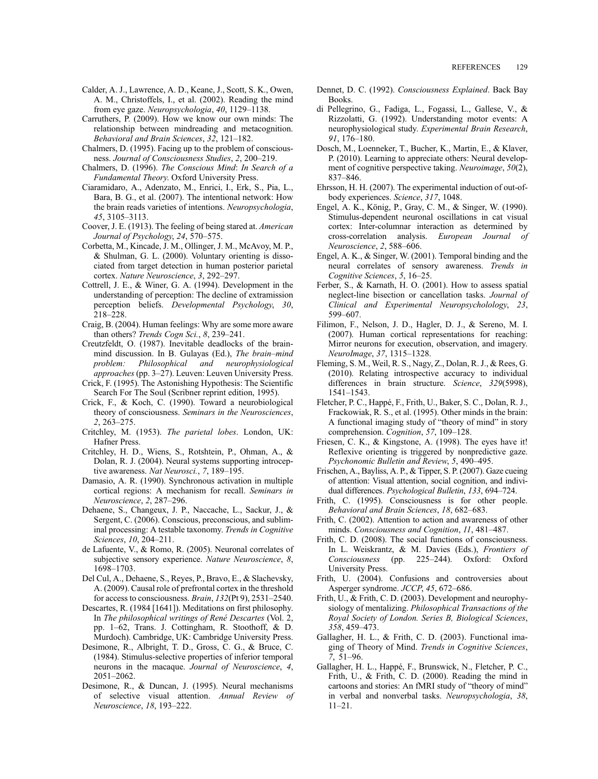- Calder, A. J., Lawrence, A. D., Keane, J., Scott, S. K., Owen, A. M., Christoffels, I., et al. (2002). Reading the mind from eye gaze. Neuropsychologia, 40, 1129–1138.
- Carruthers, P. (2009). How we know our own minds: The relationship between mindreading and metacognition. Behavioral and Brain Sciences, 32, 121–182.
- Chalmers, D. (1995). Facing up to the problem of consciousness. Journal of Consciousness Studies, 2, 200–219.
- Chalmers, D. (1996). The Conscious Mind: In Search of a Fundamental Theory. Oxford University Press.
- Ciaramidaro, A., Adenzato, M., Enrici, I., Erk, S., Pia, L., Bara, B. G., et al. (2007). The intentional network: How the brain reads varieties of intentions. Neuropsychologia, 45, 3105–3113.
- Coover, J. E. (1913). The feeling of being stared at. American Journal of Psychology, 24, 570–575.
- Corbetta, M., Kincade, J. M., Ollinger, J. M., McAvoy, M. P., & Shulman, G. L. (2000). Voluntary orienting is dissociated from target detection in human posterior parietal cortex. Nature Neuroscience, 3, 292–297.
- Cottrell, J. E., & Winer, G. A. (1994). Development in the understanding of perception: The decline of extramission perception beliefs. Developmental Psychology, 30, 218–228.
- Craig, B. (2004). Human feelings: Why are some more aware than others? Trends Cogn Sci., 8, 239–241.
- Creutzfeldt, O. (1987). Inevitable deadlocks of the brainmind discussion. In B. Gulayas (Ed.), The brain–mind problem: Philosophical and neurophysiological approaches (pp. 3–27). Leuven: Leuven University Press.
- Crick, F. (1995). The Astonishing Hypothesis: The Scientific Search For The Soul (Scribner reprint edition, 1995).
- Crick, F., & Koch, C. (1990). Toward a neurobiological theory of consciousness. Seminars in the Neurosciences, 2, 263–275.
- Critchley, M. (1953). The parietal lobes. London, UK: Hafner Press.
- Critchley, H. D., Wiens, S., Rotshtein, P., Ohman, A., & Dolan, R. J. (2004). Neural systems supporting introceptive awareness. Nat Neurosci., 7, 189–195.
- Damasio, A. R. (1990). Synchronous activation in multiple cortical regions: A mechanism for recall. Seminars in Neuroscience, 2, 287–296.
- Dehaene, S., Changeux, J. P., Naccache, L., Sackur, J., & Sergent, C. (2006). Conscious, preconscious, and subliminal processing: A testable taxonomy. Trends in Cognitive Sciences, 10, 204–211.
- de Lafuente, V., & Romo, R. (2005). Neuronal correlates of subjective sensory experience. Nature Neuroscience, 8, 1698–1703.
- Del Cul, A., Dehaene, S., Reyes, P., Bravo, E., & Slachevsky, A. (2009). Causal role of prefrontal cortex in the threshold for access to consciousness. Brain, 132(Pt 9), 2531–2540.
- Descartes, R. (1984 [1641]). Meditations on first philosophy. In The philosophical writings of René Descartes (Vol. 2, pp. 1–62, Trans. J. Cottingham, R. Stoothoff, & D. Murdoch). Cambridge, UK: Cambridge University Press.
- Desimone, R., Albright, T. D., Gross, C. G., & Bruce, C. (1984). Stimulus-selective properties of inferior temporal neurons in the macaque. Journal of Neuroscience, 4, 2051–2062.
- Desimone, R., & Duncan, J. (1995). Neural mechanisms of selective visual attention. Annual Review of Neuroscience, 18, 193–222.
- Dennet, D. C. (1992). Consciousness Explained. Back Bay Books.
- di Pellegrino, G., Fadiga, L., Fogassi, L., Gallese, V., & Rizzolatti, G. (1992). Understanding motor events: A neurophysiological study. Experimental Brain Research, 91, 176–180.
- Dosch, M., Loenneker, T., Bucher, K., Martin, E., & Klaver, P. (2010). Learning to appreciate others: Neural development of cognitive perspective taking. Neuroimage, 50(2), 837–846.
- Ehrsson, H. H. (2007). The experimental induction of out-ofbody experiences. Science, 317, 1048.
- Engel, A. K., König, P., Gray, C. M., & Singer, W. (1990). Stimulus-dependent neuronal oscillations in cat visual cortex: Inter-columnar interaction as determined by cross-correlation analysis. European Journal of Neuroscience, 2, 588–606.
- Engel, A. K., & Singer, W. (2001). Temporal binding and the neural correlates of sensory awareness. Trends in Cognitive Sciences, 5, 16–25.
- Ferber, S., & Karnath, H. O. (2001). How to assess spatial neglect-line bisection or cancellation tasks. Journal of Clinical and Experimental Neuropsycholology, 23, 599–607.
- Filimon, F., Nelson, J. D., Hagler, D. J., & Sereno, M. I. (2007). Human cortical representations for reaching: Mirror neurons for execution, observation, and imagery. NeuroImage, 37, 1315–1328.
- Fleming, S. M., Weil, R. S., Nagy, Z., Dolan, R. J., & Rees, G. (2010). Relating introspective accuracy to individual differences in brain structure. Science, 329(5998), 1541–1543.
- Fletcher, P. C., Happé, F., Frith, U., Baker, S. C., Dolan, R. J., Frackowiak, R. S., et al. (1995). Other minds in the brain: A functional imaging study of "theory of mind" in story comprehension. Cognition, 57, 109–128.
- Friesen, C. K., & Kingstone, A. (1998). The eyes have it! Reflexive orienting is triggered by nonpredictive gaze. Psychonomic Bulletin and Review, 5, 490–495.
- Frischen, A., Bayliss, A. P., & Tipper, S. P. (2007). Gaze cueing of attention: Visual attention, social cognition, and individual differences. Psychological Bulletin, 133, 694–724.
- Frith, C. (1995). Consciousness is for other people. Behavioral and Brain Sciences, 18, 682–683.
- Frith, C. (2002). Attention to action and awareness of other minds. Consciousness and Cognition, 11, 481–487.
- Frith, C. D. (2008). The social functions of consciousness. In L. Weiskrantz, & M. Davies (Eds.), *Frontiers of Consciousness* (pp. 225–244). Oxford: Oxford 225–244). Oxford: Oxford University Press.
- Frith, U. (2004). Confusions and controversies about Asperger syndrome. JCCP, 45, 672–686.
- Frith, U., & Frith, C. D. (2003). Development and neurophysiology of mentalizing. Philosophical Transactions of the Royal Society of London. Series B, Biological Sciences, 358, 459–473.
- Gallagher, H. L., & Frith, C. D. (2003). Functional imaging of Theory of Mind. Trends in Cognitive Sciences, 7, 51–96.
- Gallagher, H. L., Happé, F., Brunswick, N., Fletcher, P. C., Frith, U., & Frith, C. D. (2000). Reading the mind in cartoons and stories: An fMRI study of "theory of mind" in verbal and nonverbal tasks. Neuropsychologia, 38, 11–21.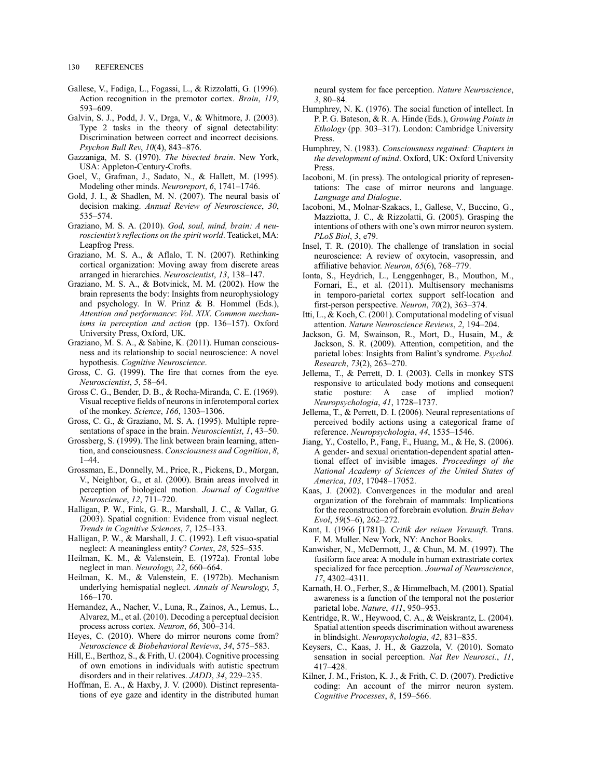130 REFERENCES

- Gallese, V., Fadiga, L., Fogassi, L., & Rizzolatti, G. (1996). Action recognition in the premotor cortex. Brain, 119, 593–609.
- Galvin, S. J., Podd, J. V., Drga, V., & Whitmore, J. (2003). Type 2 tasks in the theory of signal detectability: Discrimination between correct and incorrect decisions. Psychon Bull Rev, 10(4), 843–876.
- Gazzaniga, M. S. (1970). The bisected brain. New York, USA: Appleton-Century-Crofts.
- Goel, V., Grafman, J., Sadato, N., & Hallett, M. (1995). Modeling other minds. Neuroreport, 6, 1741–1746.
- Gold, J. I., & Shadlen, M. N. (2007). The neural basis of decision making. Annual Review of Neuroscience, 30, 535–574.
- Graziano, M. S. A. (2010). God, soul, mind, brain: A neuroscientist's reflections on the spirit world. Teaticket, MA: Leapfrog Press.
- Graziano, M. S. A., & Aflalo, T. N. (2007). Rethinking cortical organization: Moving away from discrete areas arranged in hierarchies. Neuroscientist, 13, 138–147.
- Graziano, M. S. A., & Botvinick, M. M. (2002). How the brain represents the body: Insights from neurophysiology and psychology. In W. Prinz & B. Hommel (Eds.), Attention and performance: Vol. XIX. Common mechanisms in perception and action (pp. 136–157). Oxford University Press, Oxford, UK.
- Graziano, M. S. A., & Sabine, K. (2011). Human consciousness and its relationship to social neuroscience: A novel hypothesis. Cognitive Neuroscience.
- Gross, C. G. (1999). The fire that comes from the eye. Neuroscientist, 5, 58–64.
- Gross C. G., Bender, D. B., & Rocha-Miranda, C. E. (1969). Visual receptive fields of neurons in inferotemporal cortex of the monkey. Science, 166, 1303–1306.
- Gross, C. G., & Graziano, M. S. A. (1995). Multiple representations of space in the brain. Neuroscientist, 1, 43–50.
- Grossberg, S. (1999). The link between brain learning, attention, and consciousness. Consciousness and Cognition, 8, 1–44.
- Grossman, E., Donnelly, M., Price, R., Pickens, D., Morgan, V., Neighbor, G., et al. (2000). Brain areas involved in perception of biological motion. Journal of Cognitive Neuroscience, 12, 711–720.
- Halligan, P. W., Fink, G. R., Marshall, J. C., & Vallar, G. (2003). Spatial cognition: Evidence from visual neglect. Trends in Cognitive Sciences, 7, 125–133.
- Halligan, P. W., & Marshall, J. C. (1992). Left visuo-spatial neglect: A meaningless entity? Cortex, 28, 525–535.
- Heilman, K. M., & Valenstein, E. (1972a). Frontal lobe neglect in man. Neurology, 22, 660–664.
- Heilman, K. M., & Valenstein, E. (1972b). Mechanism underlying hemispatial neglect. Annals of Neurology, 5, 166–170.
- Hernandez, A., Nacher, V., Luna, R., Zainos, A., Lemus, L., Alvarez, M., et al. (2010). Decoding a perceptual decision process across cortex. Neuron, 66, 300–314.
- Heyes, C. (2010). Where do mirror neurons come from? Neuroscience & Biobehavioral Reviews, 34, 575–583.
- Hill, E., Berthoz, S., & Frith, U. (2004). Cognitive processing of own emotions in individuals with autistic spectrum disorders and in their relatives. JADD, 34, 229–235.
- Hoffman, E. A., & Haxby, J. V. (2000). Distinct representations of eye gaze and identity in the distributed human

neural system for face perception. Nature Neuroscience, 3, 80–84.

- Humphrey, N. K. (1976). The social function of intellect. In P. P. G. Bateson, & R. A. Hinde (Eds.), Growing Points in Ethology (pp. 303–317). London: Cambridge University Press.
- Humphrey, N. (1983). Consciousness regained: Chapters in the development of mind. Oxford, UK: Oxford University Press.
- Iacoboni, M. (in press). The ontological priority of representations: The case of mirror neurons and language. Language and Dialogue.
- Iacoboni, M., Molnar-Szakacs, I., Gallese, V., Buccino, G., Mazziotta, J. C., & Rizzolatti, G. (2005). Grasping the intentions of others with one's own mirror neuron system. PLoS Biol, 3, e79.
- Insel, T. R. (2010). The challenge of translation in social neuroscience: A review of oxytocin, vasopressin, and affiliative behavior. Neuron, 65(6), 768–779.
- Ionta, S., Heydrich, L., Lenggenhager, B., Mouthon, M., Fornari, E., et al. (2011). Multisensory mechanisms in temporo-parietal cortex support self-location and first-person perspective. Neuron, 70(2), 363–374.
- Itti, L., & Koch, C. (2001). Computational modeling of visual attention. Nature Neuroscience Reviews, 2, 194–204.
- Jackson, G. M, Swainson, R., Mort, D., Husain, M., & Jackson, S. R. (2009). Attention, competition, and the parietal lobes: Insights from Balint's syndrome. Psychol. Research, 73(2), 263–270.
- Jellema, T., & Perrett, D. I. (2003). Cells in monkey STS responsive to articulated body motions and consequent static posture: A case of implied motion? Neuropsychologia, 41, 1728–1737.
- Jellema, T., & Perrett, D. I. (2006). Neural representations of perceived bodily actions using a categorical frame of reference. Neuropsychologia, 44, 1535–1546.
- Jiang, Y., Costello, P., Fang, F., Huang, M., & He, S. (2006). A gender- and sexual orientation-dependent spatial attentional effect of invisible images. Proceedings of the National Academy of Sciences of the United States of America, 103, 17048–17052.
- Kaas, J. (2002). Convergences in the modular and areal organization of the forebrain of mammals: Implications for the reconstruction of forebrain evolution. Brain Behav Evol, 59(5–6), 262–272.
- Kant, I. (1966 [1781]). Critik der reinen Vernunft. Trans. F. M. Muller. New York, NY: Anchor Books.
- Kanwisher, N., McDermott, J., & Chun, M. M. (1997). The fusiform face area: A module in human extrastriate cortex specialized for face perception. Journal of Neuroscience, 17, 4302–4311.
- Karnath, H. O., Ferber, S., & Himmelbach, M. (2001). Spatial awareness is a function of the temporal not the posterior parietal lobe. Nature, 411, 950–953.
- Kentridge, R. W., Heywood, C. A., & Weiskrantz, L. (2004). Spatial attention speeds discrimination without awareness in blindsight. Neuropsychologia, 42, 831–835.
- Keysers, C., Kaas, J. H., & Gazzola, V. (2010). Somato sensation in social perception. Nat Rev Neurosci., 11, 417–428.
- Kilner, J. M., Friston, K. J., & Frith, C. D. (2007). Predictive coding: An account of the mirror neuron system. Cognitive Processes, 8, 159–566.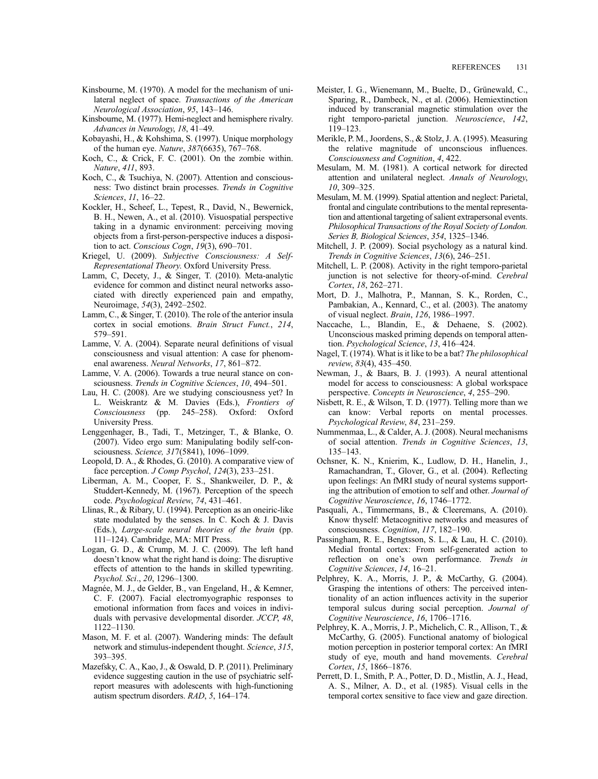- Kinsbourne, M. (1970). A model for the mechanism of unilateral neglect of space. Transactions of the American Neurological Association, 95, 143–146.
- Kinsbourne, M. (1977). Hemi-neglect and hemisphere rivalry. Advances in Neurology, 18, 41–49.
- Kobayashi, H., & Kohshima, S. (1997). Unique morphology of the human eye. Nature, 387(6635), 767–768.
- Koch, C., & Crick, F. C. (2001). On the zombie within. Nature, 411, 893.
- Koch, C., & Tsuchiya, N. (2007). Attention and consciousness: Two distinct brain processes. Trends in Cognitive Sciences, 11, 16–22.
- Kockler, H., Scheef, L., Tepest, R., David, N., Bewernick, B. H., Newen, A., et al. (2010). Visuospatial perspective taking in a dynamic environment: perceiving moving objects from a first-person-perspective induces a disposition to act. Conscious Cogn, 19(3), 690–701.
- Kriegel, U. (2009). Subjective Consciousness: A Self-Representational Theory. Oxford University Press.
- Lamm, C, Decety, J., & Singer, T. (2010). Meta-analytic evidence for common and distinct neural networks associated with directly experienced pain and empathy, Neuroimage, 54(3), 2492–2502.
- Lamm, C., & Singer, T. (2010). The role of the anterior insula cortex in social emotions. Brain Struct Funct., 214, 579–591.
- Lamme, V. A. (2004). Separate neural definitions of visual consciousness and visual attention: A case for phenomenal awareness. Neural Networks, 17, 861–872.
- Lamme, V. A. (2006). Towards a true neural stance on consciousness. Trends in Cognitive Sciences, 10, 494–501.
- Lau, H. C. (2008). Are we studying consciousness yet? In L. Weiskrantz & M. Davies (Eds.), *Frontiers of Consciousness* (pp. 245–258). Oxford: Oxford Consciousness (pp. 245–258). Oxford: Oxford University Press.
- Lenggenhager, B., Tadi, T., Metzinger, T., & Blanke, O. (2007). Video ergo sum: Manipulating bodily self-consciousness. Science, 317(5841), 1096–1099.
- Leopold, D. A., & Rhodes, G. (2010). A comparative view of face perception. J Comp Psychol, 124(3), 233–251.
- Liberman, A. M., Cooper, F. S., Shankweiler, D. P., & Studdert-Kennedy, M. (1967). Perception of the speech code. Psychological Review, 74, 431–461.
- Llinas, R., & Ribary, U. (1994). Perception as an oneiric-like state modulated by the senses. In C. Koch & J. Davis (Eds.), Large-scale neural theories of the brain (pp. 111–124). Cambridge, MA: MIT Press.
- Logan, G. D., & Crump, M. J. C. (2009). The left hand doesn't know what the right hand is doing: The disruptive effects of attention to the hands in skilled typewriting. Psychol. Sci., 20, 1296–1300.
- Magnée, M. J., de Gelder, B., van Engeland, H., & Kemner, C. F. (2007). Facial electromyographic responses to emotional information from faces and voices in individuals with pervasive developmental disorder. JCCP, 48, 1122–1130.
- Mason, M. F. et al. (2007). Wandering minds: The default network and stimulus-independent thought. Science, 315, 393–395.
- Mazefsky, C. A., Kao, J., & Oswald, D. P. (2011). Preliminary evidence suggesting caution in the use of psychiatric selfreport measures with adolescents with high-functioning autism spectrum disorders. RAD, 5, 164–174.
- Meister, I. G., Wienemann, M., Buelte, D., Grünewald, C., Sparing, R., Dambeck, N., et al. (2006). Hemiextinction induced by transcranial magnetic stimulation over the right temporo-parietal junction. Neuroscience, 142, 119–123.
- Merikle, P. M., Joordens, S., & Stolz, J. A. (1995). Measuring the relative magnitude of unconscious influences. Consciousness and Cognition, 4, 422.
- Mesulam, M. M. (1981). A cortical network for directed attention and unilateral neglect. Annals of Neurology, 10, 309–325.
- Mesulam, M. M. (1999). Spatial attention and neglect: Parietal, frontal and cingulate contributions to the mental representation and attentional targeting of salient extrapersonal events. Philosophical Transactions of the Royal Society of London. Series B, Biological Sciences, 354, 1325–1346.
- Mitchell, J. P. (2009). Social psychology as a natural kind. Trends in Cognitive Sciences, 13(6), 246–251.
- Mitchell, L. P. (2008). Activity in the right temporo-parietal junction is not selective for theory-of-mind. Cerebral Cortex, 18, 262–271.
- Mort, D. J., Malhotra, P., Mannan, S. K., Rorden, C., Pambakian, A., Kennard, C., et al. (2003). The anatomy of visual neglect. Brain, 126, 1986–1997.
- Naccache, L., Blandin, E., & Dehaene, S. (2002). Unconscious masked priming depends on temporal attention. Psychological Science, 13, 416–424.
- Nagel, T. (1974). What is it like to be a bat? The philosophical review, 83(4), 435–450.
- Newman, J., & Baars, B. J. (1993). A neural attentional model for access to consciousness: A global workspace perspective. Concepts in Neuroscience, 4, 255–290.
- Nisbett, R. E., & Wilson, T. D. (1977). Telling more than we can know: Verbal reports on mental processes. Psychological Review, 84, 231–259.
- Nummenmaa, L., & Calder, A. J. (2008). Neural mechanisms of social attention. Trends in Cognitive Sciences, 13, 135–143.
- Ochsner, K. N., Knierim, K., Ludlow, D. H., Hanelin, J., Ramachandran, T., Glover, G., et al. (2004). Reflecting upon feelings: An fMRI study of neural systems supporting the attribution of emotion to self and other. Journal of Cognitive Neuroscience, 16, 1746–1772.
- Pasquali, A., Timmermans, B., & Cleeremans, A. (2010). Know thyself: Metacognitive networks and measures of consciousness. Cognition, 117, 182–190.
- Passingham, R. E., Bengtsson, S. L., & Lau, H. C. (2010). Medial frontal cortex: From self-generated action to reflection on one's own performance. Trends in Cognitive Sciences, 14, 16–21.
- Pelphrey, K. A., Morris, J. P., & McCarthy, G. (2004). Grasping the intentions of others: The perceived intentionality of an action influences activity in the superior temporal sulcus during social perception. Journal of Cognitive Neuroscience, 16, 1706–1716.
- Pelphrey, K. A., Morris, J. P., Michelich, C. R., Allison, T., & McCarthy, G. (2005). Functional anatomy of biological motion perception in posterior temporal cortex: An fMRI study of eye, mouth and hand movements. Cerebral Cortex, 15, 1866–1876.
- Perrett, D. I., Smith, P. A., Potter, D. D., Mistlin, A. J., Head, A. S., Milner, A. D., et al. (1985). Visual cells in the temporal cortex sensitive to face view and gaze direction.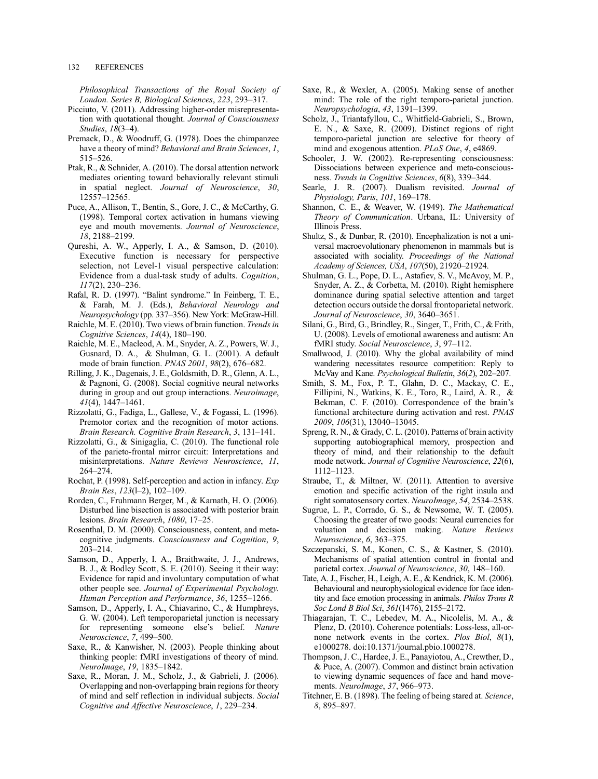#### 132 REFERENCES

Philosophical Transactions of the Royal Society of London. Series B, Biological Sciences, 223, 293–317.

- Picciuto, V. (2011). Addressing higher-order misrepresentation with quotational thought. Journal of Consciousness Studies, 18(3–4).
- Premack, D., & Woodruff, G. (1978). Does the chimpanzee have a theory of mind? Behavioral and Brain Sciences, 1, 515–526.
- Ptak, R., & Schnider, A. (2010). The dorsal attention network mediates orienting toward behaviorally relevant stimuli in spatial neglect. Journal of Neuroscience, 30, 12557–12565.
- Puce, A., Allison, T., Bentin, S., Gore, J. C., & McCarthy, G. (1998). Temporal cortex activation in humans viewing eye and mouth movements. Journal of Neuroscience, 18, 2188–2199.
- Qureshi, A. W., Apperly, I. A., & Samson, D. (2010). Executive function is necessary for perspective selection, not Level-1 visual perspective calculation: Evidence from a dual-task study of adults. Cognition, 117(2), 230–236.
- Rafal, R. D. (1997). "Balint syndrome." In Feinberg, T. E., & Farah, M. J. (Eds.), Behavioral Neurology and Neuropsychology (pp. 337–356). New York: McGraw-Hill.
- Raichle, M. E. (2010). Two views of brain function. Trends in Cognitive Sciences, 14(4), 180–190.
- Raichle, M. E., Macleod, A. M., Snyder, A. Z., Powers, W. J., Gusnard, D. A., & Shulman, G. L. (2001). A default mode of brain function. PNAS 2001, 98(2), 676–682.
- Rilling, J. K., Dagenais, J. E., Goldsmith, D. R., Glenn, A. L., & Pagnoni, G. (2008). Social cognitive neural networks during in group and out group interactions. Neuroimage, 41(4), 1447–1461.
- Rizzolatti, G., Fadiga, L., Gallese, V., & Fogassi, L. (1996). Premotor cortex and the recognition of motor actions. Brain Research. Cognitive Brain Research, 3, 131–141.
- Rizzolatti, G., & Sinigaglia, C. (2010). The functional role of the parieto-frontal mirror circuit: Interpretations and misinterpretations. Nature Reviews Neuroscience, 11, 264–274.
- Rochat, P. (1998). Self-perception and action in infancy. Exp Brain Res, 123(l–2), 102–109.
- Rorden, C., Fruhmann Berger, M., & Karnath, H. O. (2006). Disturbed line bisection is associated with posterior brain lesions. Brain Research, 1080, 17–25.
- Rosenthal, D. M. (2000). Consciousness, content, and metacognitive judgments. Consciousness and Cognition, 9, 203–214.
- Samson, D., Apperly, I. A., Braithwaite, J. J., Andrews, B. J., & Bodley Scott, S. E. (2010). Seeing it their way: Evidence for rapid and involuntary computation of what other people see. Journal of Experimental Psychology. Human Perception and Performance, 36, 1255–1266.
- Samson, D., Apperly, I. A., Chiavarino, C., & Humphreys, G. W. (2004). Left temporoparietal junction is necessary for representing someone else's belief. Nature Neuroscience, 7, 499–500.
- Saxe, R., & Kanwisher, N. (2003). People thinking about thinking people: fMRI investigations of theory of mind. NeuroImage, 19, 1835–1842.
- Saxe, R., Moran, J. M., Scholz, J., & Gabrieli, J. (2006). Overlapping and non-overlapping brain regions for theory of mind and self reflection in individual subjects. Social Cognitive and Affective Neuroscience, 1, 229–234.
- Saxe, R., & Wexler, A. (2005). Making sense of another mind: The role of the right temporo-parietal junction. Neuropsychologia, 43, 1391–1399.
- Scholz, J., Triantafyllou, C., Whitfield-Gabrieli, S., Brown, E. N., & Saxe, R. (2009). Distinct regions of right temporo-parietal junction are selective for theory of mind and exogenous attention. PLoS One, 4, e4869.
- Schooler, J. W. (2002). Re-representing consciousness: Dissociations between experience and meta-consciousness. Trends in Cognitive Sciences, 6(8), 339–344.
- Searle, J. R. (2007). Dualism revisited. Journal of Physiology, Paris, 101, 169–178.
- Shannon, C. E., & Weaver, W. (1949). The Mathematical Theory of Communication. Urbana, IL: University of Illinois Press.
- Shultz, S., & Dunbar, R. (2010). Encephalization is not a universal macroevolutionary phenomenon in mammals but is associated with sociality. Proceedings of the National Academy of Sciences, USA, 107(50), 21920–21924.
- Shulman, G. L., Pope, D. L., Astafiev, S. V., McAvoy, M. P., Snyder, A. Z., & Corbetta, M. (2010). Right hemisphere dominance during spatial selective attention and target detection occurs outside the dorsal frontoparietal network. Journal of Neuroscience, 30, 3640–3651.
- Silani, G., Bird, G., Brindley, R., Singer, T., Frith, C., & Frith, U. (2008). Levels of emotional awareness and autism: An fMRI study. Social Neuroscience, 3, 97–112.
- Smallwood, J. (2010). Why the global availability of mind wandering necessitates resource competition: Reply to McVay and Kane. Psychological Bulletin, 36(2), 202–207.
- Smith, S. M., Fox, P. T., Glahn, D. C., Mackay, C. E., Fillipini, N., Watkins, K. E., Toro, R., Laird, A. R., & Bekman, C. F. (2010). Correspondence of the brain's functional architecture during activation and rest. PNAS 2009, 106(31), 13040–13045.
- Spreng, R. N., & Grady, C. L. (2010). Patterns of brain activity supporting autobiographical memory, prospection and theory of mind, and their relationship to the default mode network. Journal of Cognitive Neuroscience, 22(6), 1112–1123.
- Straube, T., & Miltner, W. (2011). Attention to aversive emotion and specific activation of the right insula and right somatosensory cortex. NeuroImage, 54, 2534–2538.
- Sugrue, L. P., Corrado, G. S., & Newsome, W. T. (2005). Choosing the greater of two goods: Neural currencies for valuation and decision making. Nature Reviews Neuroscience, 6, 363–375.
- Szczepanski, S. M., Konen, C. S., & Kastner, S. (2010). Mechanisms of spatial attention control in frontal and parietal cortex. Journal of Neuroscience, 30, 148–160.
- Tate, A. J., Fischer, H., Leigh, A. E., & Kendrick, K. M. (2006). Behavioural and neurophysiological evidence for face identity and face emotion processing in animals. Philos Trans R Soc Lond B Biol Sci, 361(1476), 2155–2172.
- Thiagarajan, T. C., Lebedev, M. A., Nicolelis, M. A., & Plenz, D. (2010). Coherence potentials: Loss-less, all-ornone network events in the cortex. Plos Biol, 8(1), e1000278. doi:10.1371/journal.pbio.1000278.
- Thompson, J. C., Hardee, J. E., Panayiotou, A., Crewther, D., & Puce, A. (2007). Common and distinct brain activation to viewing dynamic sequences of face and hand movements. NeuroImage, 37, 966–973.
- Titchner, E. B. (1898). The feeling of being stared at. Science, 8, 895–897.